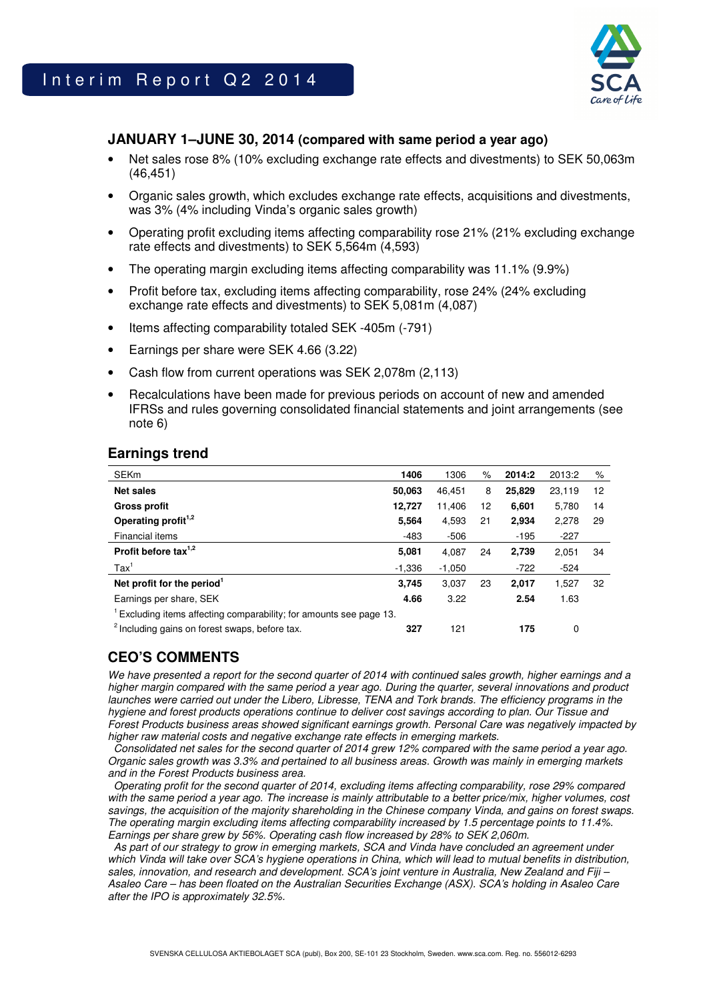

# **JANUARY 1–JUNE 30, 2014 (compared with same period a year ago)**

- Net sales rose 8% (10% excluding exchange rate effects and divestments) to SEK 50,063m (46,451)
- Organic sales growth, which excludes exchange rate effects, acquisitions and divestments, was 3% (4% including Vinda's organic sales growth)
- Operating profit excluding items affecting comparability rose 21% (21% excluding exchange rate effects and divestments) to SEK 5,564m (4,593)
- The operating margin excluding items affecting comparability was 11.1% (9.9%)
- Profit before tax, excluding items affecting comparability, rose 24% (24% excluding exchange rate effects and divestments) to SEK 5,081m (4,087)
- Items affecting comparability totaled SEK -405m (-791)
- Earnings per share were SEK 4.66 (3.22)
- Cash flow from current operations was SEK 2,078m (2,113)
- Recalculations have been made for previous periods on account of new and amended IFRSs and rules governing consolidated financial statements and joint arrangements (see note 6)

### **Earnings trend**

| <b>SEKm</b>                                                       | 1406     | 1306     | %  | 2014:2 | 2013:2 | %  |
|-------------------------------------------------------------------|----------|----------|----|--------|--------|----|
| <b>Net sales</b>                                                  | 50,063   | 46.451   | 8  | 25,829 | 23,119 | 12 |
| <b>Gross profit</b>                                               | 12.727   | 11.406   | 12 | 6,601  | 5,780  | 14 |
| Operating profit <sup>1,2</sup>                                   | 5.564    | 4.593    | 21 | 2.934  | 2,278  | 29 |
| Financial items                                                   | $-483$   | $-506$   |    | $-195$ | $-227$ |    |
| Profit before tax $1,2$                                           | 5,081    | 4,087    | 24 | 2,739  | 2,051  | 34 |
| $\text{Tax}^1$                                                    | $-1.336$ | $-1.050$ |    | $-722$ | $-524$ |    |
| Net profit for the period <sup>1</sup>                            | 3.745    | 3.037    | 23 | 2,017  | 1,527  | 32 |
| Earnings per share, SEK                                           | 4.66     | 3.22     |    | 2.54   | 1.63   |    |
| Excluding items affecting comparability; for amounts see page 13. |          |          |    |        |        |    |
| <sup>2</sup> Including gains on forest swaps, before tax.         | 327      | 121      |    | 175    | 0      |    |

# **CEO'S COMMENTS**

We have presented a report for the second quarter of 2014 with continued sales growth, higher earnings and a higher margin compared with the same period a year ago. During the quarter, several innovations and product launches were carried out under the Libero, Libresse, TENA and Tork brands. The efficiency programs in the hygiene and forest products operations continue to deliver cost savings according to plan. Our Tissue and Forest Products business areas showed significant earnings growth. Personal Care was negatively impacted by higher raw material costs and negative exchange rate effects in emerging markets.

 Consolidated net sales for the second quarter of 2014 grew 12% compared with the same period a year ago. Organic sales growth was 3.3% and pertained to all business areas. Growth was mainly in emerging markets and in the Forest Products business area.

 Operating profit for the second quarter of 2014, excluding items affecting comparability, rose 29% compared with the same period a year ago. The increase is mainly attributable to a better price/mix, higher volumes, cost savings, the acquisition of the majority shareholding in the Chinese company Vinda, and gains on forest swaps. The operating margin excluding items affecting comparability increased by 1.5 percentage points to 11.4%. Earnings per share grew by 56%. Operating cash flow increased by 28% to SEK 2,060m.

 As part of our strategy to grow in emerging markets, SCA and Vinda have concluded an agreement under which Vinda will take over SCA's hygiene operations in China, which will lead to mutual benefits in distribution, sales, innovation, and research and development. SCA's joint venture in Australia, New Zealand and Fiji – Asaleo Care – has been floated on the Australian Securities Exchange (ASX). SCA's holding in Asaleo Care after the IPO is approximately 32.5%.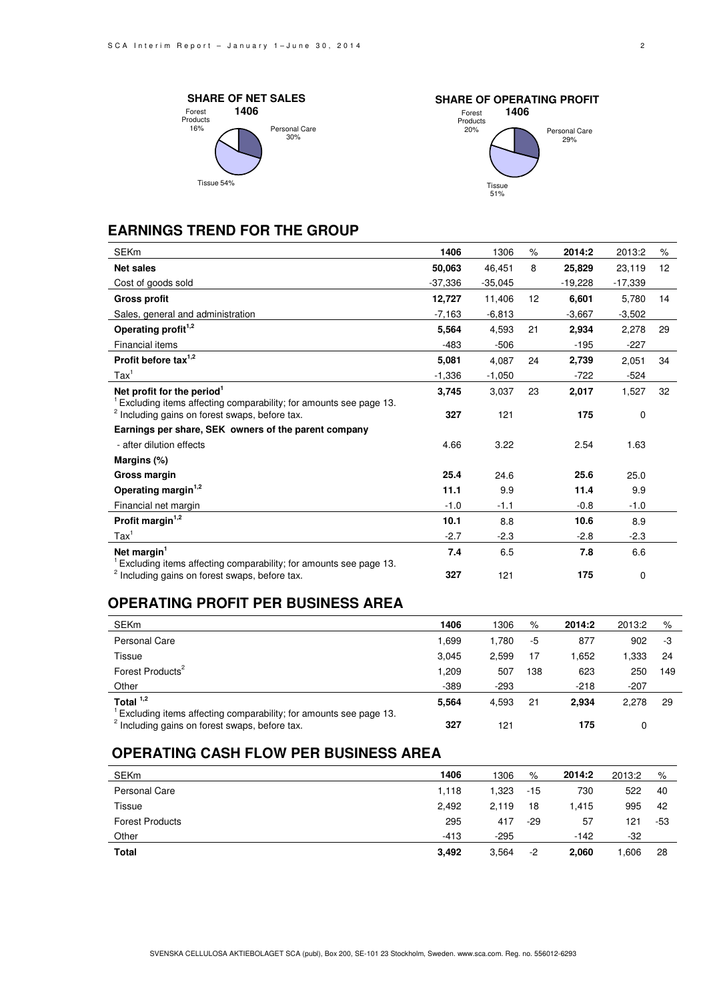



# **EARNINGS TREND FOR THE GROUP**

| <b>SEKm</b>                                                       | 1406      | 1306      | %  | 2014:2   | 2013:2    | %  |
|-------------------------------------------------------------------|-----------|-----------|----|----------|-----------|----|
| <b>Net sales</b>                                                  | 50,063    | 46.451    | 8  | 25,829   | 23,119    | 12 |
| Cost of goods sold                                                | $-37,336$ | $-35,045$ |    | -19,228  | $-17,339$ |    |
|                                                                   |           |           |    |          |           |    |
| <b>Gross profit</b>                                               | 12,727    | 11,406    | 12 | 6,601    | 5,780     | 14 |
| Sales, general and administration                                 | $-7,163$  | $-6,813$  |    | $-3,667$ | $-3,502$  |    |
| Operating profit <sup>1,2</sup>                                   | 5,564     | 4,593     | 21 | 2,934    | 2,278     | 29 |
| Financial items                                                   | $-483$    | $-506$    |    | $-195$   | $-227$    |    |
| Profit before tax $1,2$                                           | 5,081     | 4,087     | 24 | 2,739    | 2,051     | 34 |
| $\text{Tax}^1$                                                    | $-1,336$  | $-1,050$  |    | $-722$   | $-524$    |    |
| Net profit for the period <sup>1</sup>                            | 3,745     | 3,037     | 23 | 2,017    | 1,527     | 32 |
| Excluding items affecting comparability; for amounts see page 13. |           |           |    |          |           |    |
| <sup>2</sup> Including gains on forest swaps, before tax.         | 327       | 121       |    | 175      | 0         |    |
| Earnings per share, SEK owners of the parent company              |           |           |    |          |           |    |
| - after dilution effects                                          | 4.66      | 3.22      |    | 2.54     | 1.63      |    |
| Margins (%)                                                       |           |           |    |          |           |    |
| Gross margin                                                      | 25.4      | 24.6      |    | 25.6     | 25.0      |    |
| Operating margin <sup>1,2</sup>                                   | 11.1      | 9.9       |    | 11.4     | 9.9       |    |
| Financial net margin                                              | $-1.0$    | $-1.1$    |    | $-0.8$   | $-1.0$    |    |
| Profit margin <sup>1,2</sup>                                      | 10.1      | 8.8       |    | 10.6     | 8.9       |    |
| $\text{Tax}^1$                                                    | $-2.7$    | $-2.3$    |    | $-2.8$   | $-2.3$    |    |
| Net margin $1$                                                    | 7.4       | 6.5       |    | 7.8      | 6.6       |    |
| Excluding items affecting comparability; for amounts see page 13. |           |           |    |          |           |    |
| <sup>2</sup> Including gains on forest swaps, before tax.         | 327       | 121       |    | 175      | 0         |    |

### **OPERATING PROFIT PER BUSINESS AREA**

| <b>SEKm</b>                                                                                                                    | 1406   | 1306   | %   | 2014:2 | 2013:2 | %   |
|--------------------------------------------------------------------------------------------------------------------------------|--------|--------|-----|--------|--------|-----|
| Personal Care                                                                                                                  | 1.699  | 1.780  | -5  | 877    | 902    | -3  |
| Tissue                                                                                                                         | 3.045  | 2.599  | 17  | 1.652  | .333   | 24  |
| Forest Products <sup>2</sup>                                                                                                   | 1.209  | 507    | 138 | 623    | 250    | 149 |
| Other                                                                                                                          | $-389$ | $-293$ |     | $-218$ | $-207$ |     |
| Total $1,2$                                                                                                                    | 5,564  | 4,593  | 21  | 2.934  | 2.278  | 29  |
| Excluding items affecting comparability; for amounts see page 13.<br><sup>2</sup> Including gains on forest swaps, before tax. | 327    | 121    |     | 175    |        |     |

# **OPERATING CASH FLOW PER BUSINESS AREA**

| <b>SEKm</b>            | 1406   | 1306   | %     | 2014:2 | 2013:2 | %   |
|------------------------|--------|--------|-------|--------|--------|-----|
| Personal Care          | 1,118  | 1.323  | $-15$ | 730    | 522    | 40  |
| Tissue                 | 2,492  | 2.119  | 18    | 1.415  | 995    | 42  |
| <b>Forest Products</b> | 295    | 417    | $-29$ | 57     | 121    | -53 |
| Other                  | $-413$ | $-295$ |       | $-142$ | -32    |     |
| <b>Total</b>           | 3,492  | 3,564  | -2    | 2,060  | 1.606  | 28  |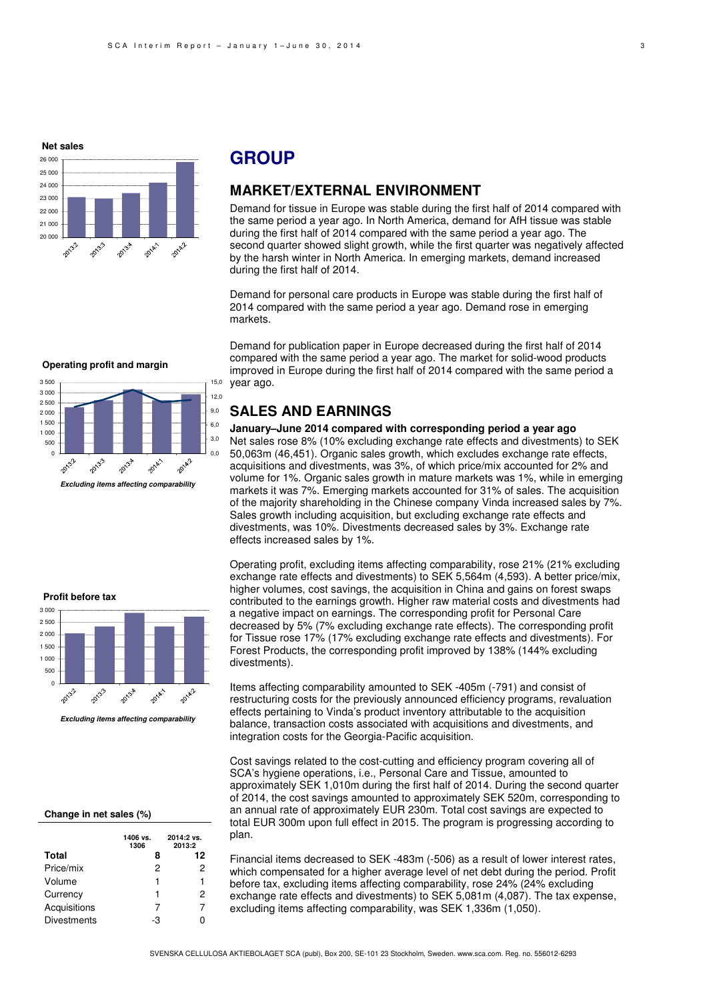#### **Net sales**



# **GROUP**

### **MARKET/EXTERNAL ENVIRONMENT**

Demand for tissue in Europe was stable during the first half of 2014 compared with the same period a year ago. In North America, demand for AfH tissue was stable during the first half of 2014 compared with the same period a year ago. The second quarter showed slight growth, while the first quarter was negatively affected by the harsh winter in North America. In emerging markets, demand increased during the first half of 2014.

Demand for personal care products in Europe was stable during the first half of 2014 compared with the same period a year ago. Demand rose in emerging markets.

Demand for publication paper in Europe decreased during the first half of 2014 compared with the same period a year ago. The market for solid-wood products improved in Europe during the first half of 2014 compared with the same period a year ago.

### **SALES AND EARNINGS**

#### **January–June 2014 compared with corresponding period a year ago**

Net sales rose 8% (10% excluding exchange rate effects and divestments) to SEK 50,063m (46,451). Organic sales growth, which excludes exchange rate effects, acquisitions and divestments, was 3%, of which price/mix accounted for 2% and volume for 1%. Organic sales growth in mature markets was 1%, while in emerging markets it was 7%. Emerging markets accounted for 31% of sales. The acquisition of the majority shareholding in the Chinese company Vinda increased sales by 7%. Sales growth including acquisition, but excluding exchange rate effects and divestments, was 10%. Divestments decreased sales by 3%. Exchange rate effects increased sales by 1%.

**Profit before tax**3 000 2 500 2 000 1 500 1 000 500  $\overline{0}$ 2014/1 2013.7 2013.4 2013.3 2014.1

#### **Excluding items affecting comparability**

#### **Change in net sales (%)**

|                    | 1406 vs.<br>1306 | 2014:2 vs.<br>2013:2 |
|--------------------|------------------|----------------------|
| <b>Total</b>       | 8                | 12                   |
| Price/mix          | 2                | 2                    |
| Volume             | 1                | 1                    |
| Currency           | 1                | 2                    |
| Acquisitions       | 7                | 7                    |
| <b>Divestments</b> | -3               |                      |

Operating profit, excluding items affecting comparability, rose 21% (21% excluding exchange rate effects and divestments) to SEK 5,564m (4,593). A better price/mix, higher volumes, cost savings, the acquisition in China and gains on forest swaps contributed to the earnings growth. Higher raw material costs and divestments had a negative impact on earnings. The corresponding profit for Personal Care decreased by 5% (7% excluding exchange rate effects). The corresponding profit for Tissue rose 17% (17% excluding exchange rate effects and divestments). For Forest Products, the corresponding profit improved by 138% (144% excluding divestments).

Items affecting comparability amounted to SEK -405m (-791) and consist of restructuring costs for the previously announced efficiency programs, revaluation effects pertaining to Vinda's product inventory attributable to the acquisition balance, transaction costs associated with acquisitions and divestments, and integration costs for the Georgia-Pacific acquisition.

Cost savings related to the cost-cutting and efficiency program covering all of SCA's hygiene operations, i.e., Personal Care and Tissue, amounted to approximately SEK 1,010m during the first half of 2014. During the second quarter of 2014, the cost savings amounted to approximately SEK 520m, corresponding to an annual rate of approximately EUR 230m. Total cost savings are expected to total EUR 300m upon full effect in 2015. The program is progressing according to plan.

Financial items decreased to SEK -483m (-506) as a result of lower interest rates, which compensated for a higher average level of net debt during the period. Profit before tax, excluding items affecting comparability, rose 24% (24% excluding exchange rate effects and divestments) to SEK 5,081m (4,087). The tax expense, excluding items affecting comparability, was SEK 1,336m (1,050).

# **Operating profit and margin**



 **Excluding items affecting comparability**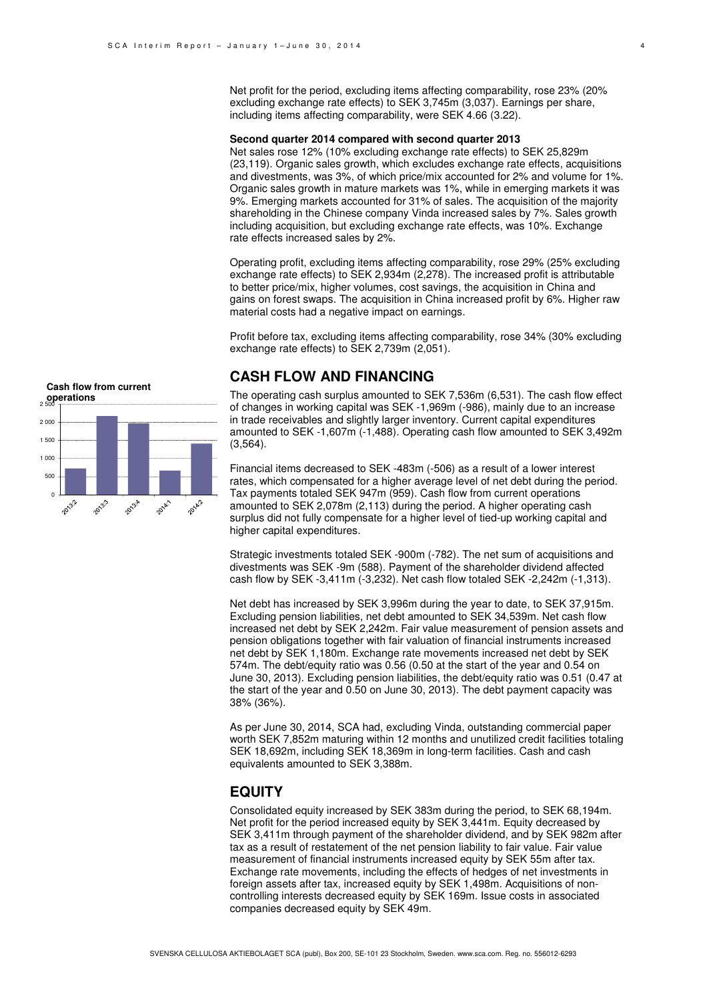Net profit for the period, excluding items affecting comparability, rose 23% (20% excluding exchange rate effects) to SEK 3,745m (3,037). Earnings per share, including items affecting comparability, were SEK 4.66 (3.22).

#### **Second quarter 2014 compared with second quarter 2013**

Net sales rose 12% (10% excluding exchange rate effects) to SEK 25,829m (23,119). Organic sales growth, which excludes exchange rate effects, acquisitions and divestments, was 3%, of which price/mix accounted for 2% and volume for 1%. Organic sales growth in mature markets was 1%, while in emerging markets it was 9%. Emerging markets accounted for 31% of sales. The acquisition of the majority shareholding in the Chinese company Vinda increased sales by 7%. Sales growth including acquisition, but excluding exchange rate effects, was 10%. Exchange rate effects increased sales by 2%.

Operating profit, excluding items affecting comparability, rose 29% (25% excluding exchange rate effects) to SEK 2,934m (2,278). The increased profit is attributable to better price/mix, higher volumes, cost savings, the acquisition in China and gains on forest swaps. The acquisition in China increased profit by 6%. Higher raw material costs had a negative impact on earnings.

Profit before tax, excluding items affecting comparability, rose 34% (30% excluding exchange rate effects) to SEK 2,739m (2,051).

### **CASH FLOW AND FINANCING**

The operating cash surplus amounted to SEK 7,536m (6,531). The cash flow effect of changes in working capital was SEK -1,969m (-986), mainly due to an increase in trade receivables and slightly larger inventory. Current capital expenditures amounted to SEK -1,607m (-1,488). Operating cash flow amounted to SEK 3,492m (3,564).

Financial items decreased to SEK -483m (-506) as a result of a lower interest rates, which compensated for a higher average level of net debt during the period. Tax payments totaled SEK 947m (959). Cash flow from current operations amounted to SEK 2,078m (2,113) during the period. A higher operating cash surplus did not fully compensate for a higher level of tied-up working capital and higher capital expenditures.

Strategic investments totaled SEK -900m (-782). The net sum of acquisitions and divestments was SEK -9m (588). Payment of the shareholder dividend affected cash flow by SEK -3,411m (-3,232). Net cash flow totaled SEK -2,242m (-1,313).

Net debt has increased by SEK 3,996m during the year to date, to SEK 37,915m. Excluding pension liabilities, net debt amounted to SEK 34,539m. Net cash flow increased net debt by SEK 2,242m. Fair value measurement of pension assets and pension obligations together with fair valuation of financial instruments increased net debt by SEK 1,180m. Exchange rate movements increased net debt by SEK 574m. The debt/equity ratio was 0.56 (0.50 at the start of the year and 0.54 on June 30, 2013). Excluding pension liabilities, the debt/equity ratio was 0.51 (0.47 at the start of the year and 0.50 on June 30, 2013). The debt payment capacity was 38% (36%).

As per June 30, 2014, SCA had, excluding Vinda, outstanding commercial paper worth SEK 7,852m maturing within 12 months and unutilized credit facilities totaling SEK 18,692m, including SEK 18,369m in long-term facilities. Cash and cash equivalents amounted to SEK 3,388m.

### **EQUITY**

Consolidated equity increased by SEK 383m during the period, to SEK 68,194m. Net profit for the period increased equity by SEK 3,441m. Equity decreased by SEK 3,411m through payment of the shareholder dividend, and by SEK 982m after tax as a result of restatement of the net pension liability to fair value. Fair value measurement of financial instruments increased equity by SEK 55m after tax. Exchange rate movements, including the effects of hedges of net investments in foreign assets after tax, increased equity by SEK 1,498m. Acquisitions of noncontrolling interests decreased equity by SEK 169m. Issue costs in associated companies decreased equity by SEK 49m.

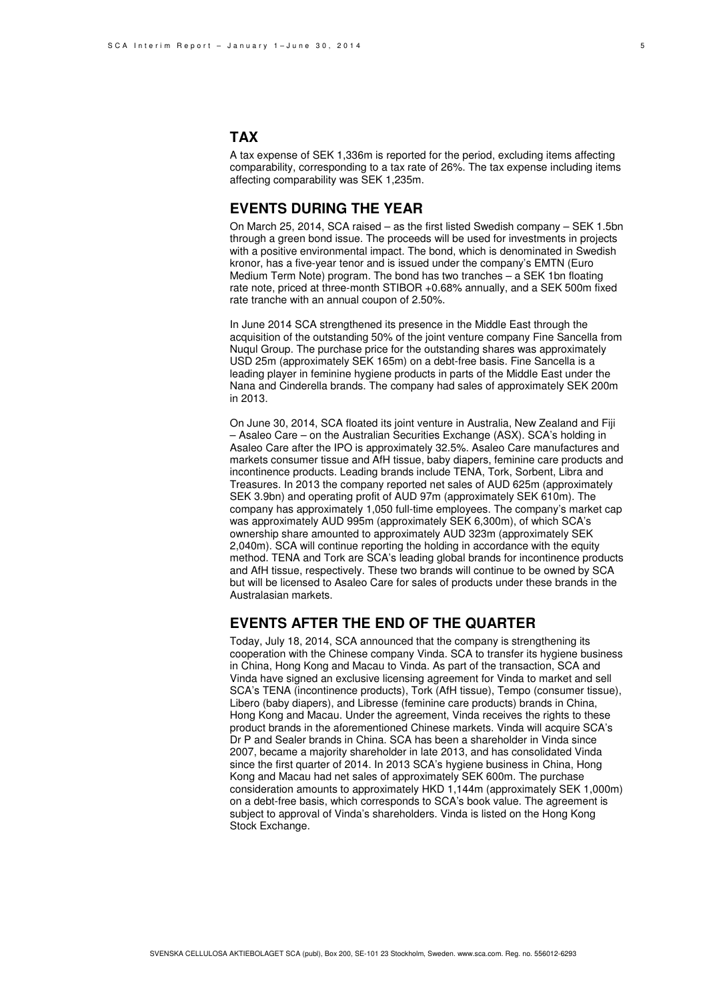### **TAX**

A tax expense of SEK 1,336m is reported for the period, excluding items affecting comparability, corresponding to a tax rate of 26%. The tax expense including items affecting comparability was SEK 1,235m.

### **EVENTS DURING THE YEAR**

On March 25, 2014, SCA raised – as the first listed Swedish company – SEK 1.5bn through a green bond issue. The proceeds will be used for investments in projects with a positive environmental impact. The bond, which is denominated in Swedish kronor, has a five-year tenor and is issued under the company's EMTN (Euro Medium Term Note) program. The bond has two tranches – a SEK 1bn floating rate note, priced at three-month STIBOR +0.68% annually, and a SEK 500m fixed rate tranche with an annual coupon of 2.50%.

In June 2014 SCA strengthened its presence in the Middle East through the acquisition of the outstanding 50% of the joint venture company Fine Sancella from Nuqul Group. The purchase price for the outstanding shares was approximately USD 25m (approximately SEK 165m) on a debt-free basis. Fine Sancella is a leading player in feminine hygiene products in parts of the Middle East under the Nana and Cinderella brands. The company had sales of approximately SEK 200m in 2013.

On June 30, 2014, SCA floated its joint venture in Australia, New Zealand and Fiji – Asaleo Care – on the Australian Securities Exchange (ASX). SCA's holding in Asaleo Care after the IPO is approximately 32.5%. Asaleo Care manufactures and markets consumer tissue and AfH tissue, baby diapers, feminine care products and incontinence products. Leading brands include TENA, Tork, Sorbent, Libra and Treasures. In 2013 the company reported net sales of AUD 625m (approximately SEK 3.9bn) and operating profit of AUD 97m (approximately SEK 610m). The company has approximately 1,050 full-time employees. The company's market cap was approximately AUD 995m (approximately SEK 6,300m), of which SCA's ownership share amounted to approximately AUD 323m (approximately SEK 2,040m). SCA will continue reporting the holding in accordance with the equity method. TENA and Tork are SCA's leading global brands for incontinence products and AfH tissue, respectively. These two brands will continue to be owned by SCA but will be licensed to Asaleo Care for sales of products under these brands in the Australasian markets.

### **EVENTS AFTER THE END OF THE QUARTER**

Today, July 18, 2014, SCA announced that the company is strengthening its cooperation with the Chinese company Vinda. SCA to transfer its hygiene business in China, Hong Kong and Macau to Vinda. As part of the transaction, SCA and Vinda have signed an exclusive licensing agreement for Vinda to market and sell SCA's TENA (incontinence products), Tork (AfH tissue), Tempo (consumer tissue), Libero (baby diapers), and Libresse (feminine care products) brands in China, Hong Kong and Macau. Under the agreement, Vinda receives the rights to these product brands in the aforementioned Chinese markets. Vinda will acquire SCA's Dr P and Sealer brands in China. SCA has been a shareholder in Vinda since 2007, became a majority shareholder in late 2013, and has consolidated Vinda since the first quarter of 2014. In 2013 SCA's hygiene business in China, Hong Kong and Macau had net sales of approximately SEK 600m. The purchase consideration amounts to approximately HKD 1,144m (approximately SEK 1,000m) on a debt-free basis, which corresponds to SCA's book value. The agreement is subject to approval of Vinda's shareholders. Vinda is listed on the Hong Kong Stock Exchange.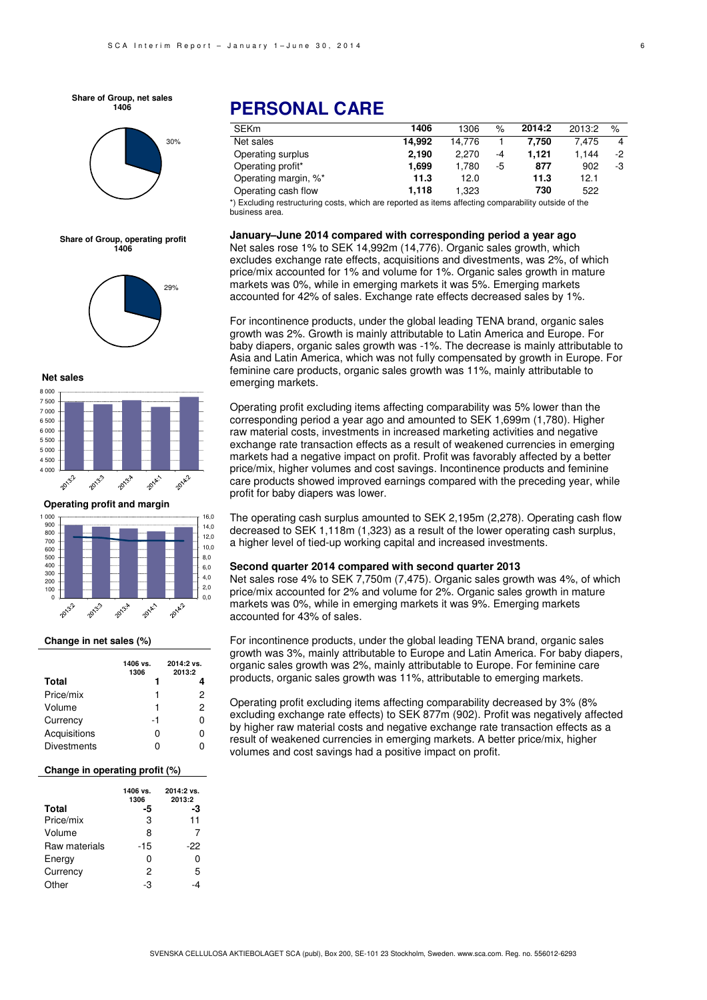**Share of Group, net sales 1406**



**Share of Group, operating profit 1406**





**Operating profit and margin**



#### **Change in net sales (%)**

|                    | 1406 vs.<br>1306 | 2014:2 vs.<br>2013:2 |
|--------------------|------------------|----------------------|
| Total              | 1                |                      |
| Price/mix          | 1                | 2                    |
| Volume             | 1                | 2                    |
| Currency           | -1               | 0                    |
| Acquisitions       | ŋ                | 0                    |
| <b>Divestments</b> | Ω                | n                    |

#### **Change in operating profit (%)**

|               | 1406 vs.<br>1306 | 2014:2 vs.<br>2013:2 |
|---------------|------------------|----------------------|
| <b>Total</b>  | -5               | -3                   |
| Price/mix     | 3                | 11                   |
| Volume        | 8                | 7                    |
| Raw materials | -15              | -22                  |
| Energy        | ი                | 0                    |
| Currency      | 2                | 5                    |
| Other         | -3               |                      |

# **PERSONAL CARE**

| SEKm                 | 1406   | 1306   | $\%$ | 2014:2 | 2013:2 | $\%$ |
|----------------------|--------|--------|------|--------|--------|------|
| Net sales            | 14.992 | 14.776 |      | 7.750  | 7.475  | 4    |
| Operating surplus    | 2.190  | 2.270  | -4   | 1.121  | 1.144  | -2   |
| Operating profit*    | 1.699  | 1.780  | -5   | 877    | 902    | -3   |
| Operating margin, %* | 11.3   | 12.0   |      | 11.3   | 12.1   |      |
| Operating cash flow  | 1.118  | 1,323  |      | 730    | 522    |      |

\*) Excluding restructuring costs, which are reported as items affecting comparability outside of the business area.

#### **January–June 2014 compared with corresponding period a year ago**

Net sales rose 1% to SEK 14,992m (14,776). Organic sales growth, which excludes exchange rate effects, acquisitions and divestments, was 2%, of which price/mix accounted for 1% and volume for 1%. Organic sales growth in mature markets was 0%, while in emerging markets it was 5%. Emerging markets accounted for 42% of sales. Exchange rate effects decreased sales by 1%.

For incontinence products, under the global leading TENA brand, organic sales growth was 2%. Growth is mainly attributable to Latin America and Europe. For baby diapers, organic sales growth was -1%. The decrease is mainly attributable to Asia and Latin America, which was not fully compensated by growth in Europe. For feminine care products, organic sales growth was 11%, mainly attributable to emerging markets.

Operating profit excluding items affecting comparability was 5% lower than the corresponding period a year ago and amounted to SEK 1,699m (1,780). Higher raw material costs, investments in increased marketing activities and negative exchange rate transaction effects as a result of weakened currencies in emerging markets had a negative impact on profit. Profit was favorably affected by a better price/mix, higher volumes and cost savings. Incontinence products and feminine care products showed improved earnings compared with the preceding year, while profit for baby diapers was lower.

The operating cash surplus amounted to SEK 2,195m (2,278). Operating cash flow decreased to SEK 1,118m (1,323) as a result of the lower operating cash surplus, a higher level of tied-up working capital and increased investments.

#### **Second quarter 2014 compared with second quarter 2013**

Net sales rose 4% to SEK 7,750m (7,475). Organic sales growth was 4%, of which price/mix accounted for 2% and volume for 2%. Organic sales growth in mature markets was 0%, while in emerging markets it was 9%. Emerging markets accounted for 43% of sales.

For incontinence products, under the global leading TENA brand, organic sales growth was 3%, mainly attributable to Europe and Latin America. For baby diapers, organic sales growth was 2%, mainly attributable to Europe. For feminine care products, organic sales growth was 11%, attributable to emerging markets.

Operating profit excluding items affecting comparability decreased by 3% (8% excluding exchange rate effects) to SEK 877m (902). Profit was negatively affected by higher raw material costs and negative exchange rate transaction effects as a result of weakened currencies in emerging markets. A better price/mix, higher volumes and cost savings had a positive impact on profit.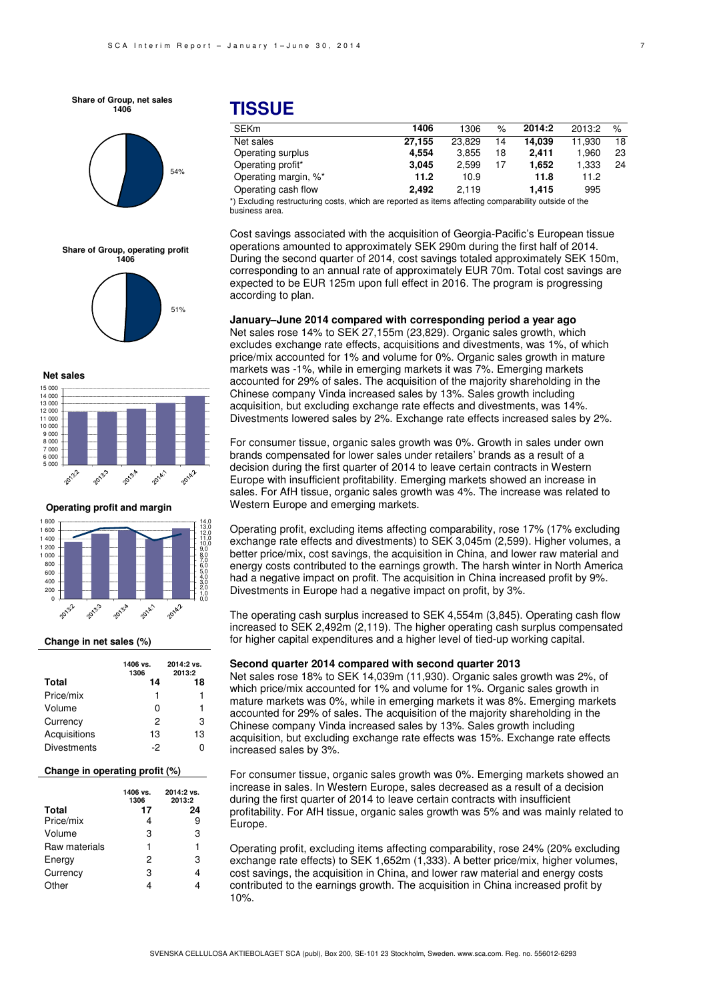**Share of Group, net sales 1406**



**Share of Group, operating profit 1406**



**Net sales**



**Operating profit and margin**



#### **Change in net sales (%)**

|                    | 1406 vs.<br>1306 | 2014:2 vs.<br>2013:2 |
|--------------------|------------------|----------------------|
| Total              | 14               | 18                   |
| Price/mix          |                  | 1                    |
| Volume             | O                | 1                    |
| Currency           | 2                | з                    |
| Acquisitions       | 13               | 13                   |
| <b>Divestments</b> | -2               |                      |

#### **Change in operating profit (%)**

|               | 1406 vs.<br>1306 | 2014:2 vs.<br>2013:2 |
|---------------|------------------|----------------------|
| <b>Total</b>  | 17               | 24                   |
| Price/mix     |                  | 9                    |
| Volume        | 3                | 3                    |
| Raw materials | 1                | 1                    |
| Energy        | 2                | 3                    |
| Currency      | 3                |                      |
| Other         |                  |                      |

### **TISSUE**

| <b>SEKm</b>                                                                                         | 1406   | 1306   | $\%$ | 2014:2 | 2013:2 | $\%$ |
|-----------------------------------------------------------------------------------------------------|--------|--------|------|--------|--------|------|
| Net sales                                                                                           | 27.155 | 23.829 | 14   | 14.039 | 11.930 | 18   |
| Operating surplus                                                                                   | 4.554  | 3.855  | 18   | 2.411  | 1.960  | 23   |
| Operating profit*                                                                                   | 3.045  | 2.599  | 17   | 1.652  | 1,333  | 24   |
| Operating margin, %*                                                                                | 11.2   | 10.9   |      | 11.8   | 11.2   |      |
| Operating cash flow                                                                                 | 2.492  | 2.119  |      | 1.415  | 995    |      |
| *) Evoluding roctructuring cocto which are reported as items affecting comparability outside of the |        |        |      |        |        |      |

s, which are reported as items affecting comparability outside of the business area.

Cost savings associated with the acquisition of Georgia-Pacific's European tissue operations amounted to approximately SEK 290m during the first half of 2014. During the second quarter of 2014, cost savings totaled approximately SEK 150m, corresponding to an annual rate of approximately EUR 70m. Total cost savings are expected to be EUR 125m upon full effect in 2016. The program is progressing according to plan.

**January–June 2014 compared with corresponding period a year ago**  Net sales rose 14% to SEK 27,155m (23,829). Organic sales growth, which

excludes exchange rate effects, acquisitions and divestments, was 1%, of which price/mix accounted for 1% and volume for 0%. Organic sales growth in mature markets was -1%, while in emerging markets it was 7%. Emerging markets accounted for 29% of sales. The acquisition of the majority shareholding in the Chinese company Vinda increased sales by 13%. Sales growth including acquisition, but excluding exchange rate effects and divestments, was 14%. Divestments lowered sales by 2%. Exchange rate effects increased sales by 2%.

For consumer tissue, organic sales growth was 0%. Growth in sales under own brands compensated for lower sales under retailers' brands as a result of a decision during the first quarter of 2014 to leave certain contracts in Western Europe with insufficient profitability. Emerging markets showed an increase in sales. For AfH tissue, organic sales growth was 4%. The increase was related to Western Europe and emerging markets.

Operating profit, excluding items affecting comparability, rose 17% (17% excluding exchange rate effects and divestments) to SEK 3,045m (2,599). Higher volumes, a better price/mix, cost savings, the acquisition in China, and lower raw material and energy costs contributed to the earnings growth. The harsh winter in North America had a negative impact on profit. The acquisition in China increased profit by 9%. Divestments in Europe had a negative impact on profit, by 3%.

The operating cash surplus increased to SEK 4,554m (3,845). Operating cash flow increased to SEK 2,492m (2,119). The higher operating cash surplus compensated for higher capital expenditures and a higher level of tied-up working capital.

#### **Second quarter 2014 compared with second quarter 2013**

Net sales rose 18% to SEK 14,039m (11,930). Organic sales growth was 2%, of which price/mix accounted for 1% and volume for 1%. Organic sales growth in mature markets was 0%, while in emerging markets it was 8%. Emerging markets accounted for 29% of sales. The acquisition of the majority shareholding in the Chinese company Vinda increased sales by 13%. Sales growth including acquisition, but excluding exchange rate effects was 15%. Exchange rate effects increased sales by 3%.

For consumer tissue, organic sales growth was 0%. Emerging markets showed an increase in sales. In Western Europe, sales decreased as a result of a decision during the first quarter of 2014 to leave certain contracts with insufficient profitability. For AfH tissue, organic sales growth was 5% and was mainly related to Europe.

Operating profit, excluding items affecting comparability, rose 24% (20% excluding exchange rate effects) to SEK 1,652m (1,333). A better price/mix, higher volumes, cost savings, the acquisition in China, and lower raw material and energy costs contributed to the earnings growth. The acquisition in China increased profit by 10%.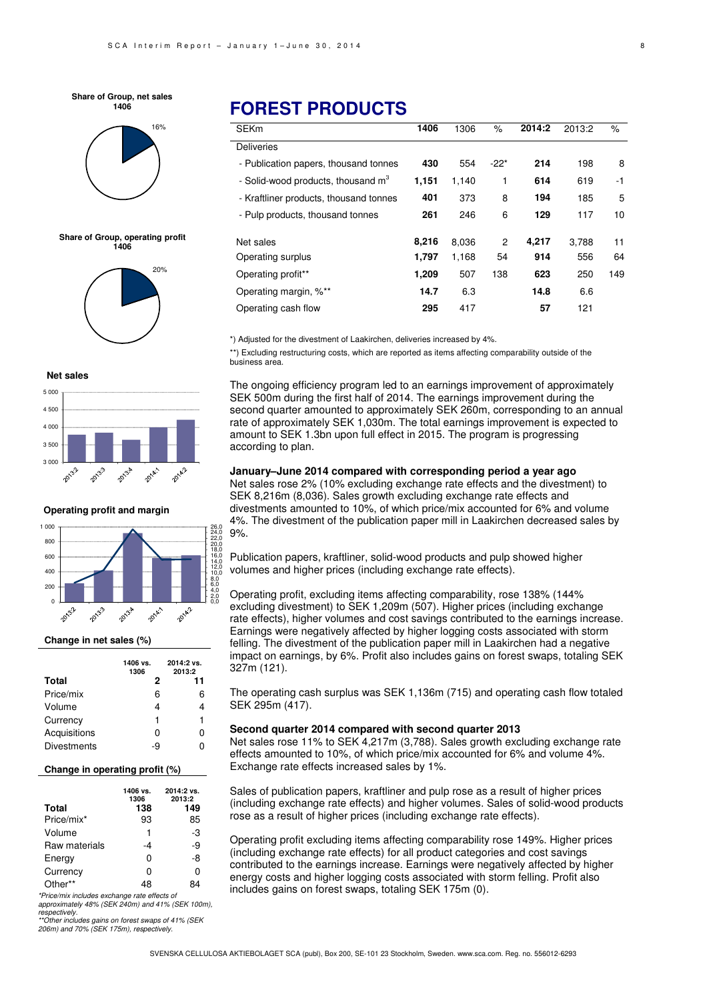#### **Share of Group, net sales 1406**



**Share of Group, operating profit 1406**



#### **Net sales**



**Operating profit and margin**



#### **Change in net sales (%)**

|                    | 1406 vs.<br>1306 | 2014:2 vs.<br>2013:2 |
|--------------------|------------------|----------------------|
| Total              | 2                | 11                   |
| Price/mix          | 6                | 6                    |
| Volume             | 4                |                      |
| Currency           | 1                | 1                    |
| Acquisitions       | 0                | n                    |
| <b>Divestments</b> | -9               |                      |

#### **Change in operating profit (%)**

| <b>Total</b>  | 1406 vs.<br>1306<br>138 | 2014:2 vs.<br>2013:2<br>149 |
|---------------|-------------------------|-----------------------------|
| Price/mix*    | 93                      | 85                          |
| Volume        | 1                       | -3                          |
| Raw materials | -4                      | -9                          |
| Energy        | ი                       | -8                          |
| Currency      | n                       | ი                           |
| Other**       |                         |                             |

\*Price/mix includes exchange rate effects of approximately 48% (SEK 240m) and 41% (SEK 100m), respectively.

\*Other includes gains on forest swaps of 41% (SEK 206m) and 70% (SEK 175m), respectively.

# **FOREST PRODUCTS**

| <b>SEKm</b>                                    | 1406  | 1306  | $\%$   | 2014:2 | 2013:2 | $\%$ |
|------------------------------------------------|-------|-------|--------|--------|--------|------|
| <b>Deliveries</b>                              |       |       |        |        |        |      |
| - Publication papers, thousand tonnes          | 430   | 554   | $-22*$ | 214    | 198    | 8    |
| - Solid-wood products, thousand m <sup>3</sup> | 1,151 | 1,140 | 1      | 614    | 619    | -1   |
| - Kraftliner products, thousand tonnes         | 401   | 373   | 8      | 194    | 185    | 5    |
| - Pulp products, thousand tonnes               | 261   | 246   | 6      | 129    | 117    | 10   |
|                                                |       |       |        |        |        |      |
| Net sales                                      | 8,216 | 8,036 | 2      | 4,217  | 3.788  | 11   |
| Operating surplus                              | 1.797 | 1,168 | 54     | 914    | 556    | 64   |
| Operating profit**                             | 1,209 | 507   | 138    | 623    | 250    | 149  |
| Operating margin, %**                          | 14.7  | 6.3   |        | 14.8   | 6.6    |      |
| Operating cash flow                            | 295   | 417   |        | 57     | 121    |      |

\*) Adjusted for the divestment of Laakirchen, deliveries increased by 4%.

\*\*) Excluding restructuring costs, which are reported as items affecting comparability outside of the business area.

The ongoing efficiency program led to an earnings improvement of approximately SEK 500m during the first half of 2014. The earnings improvement during the second quarter amounted to approximately SEK 260m, corresponding to an annual rate of approximately SEK 1,030m. The total earnings improvement is expected to amount to SEK 1.3bn upon full effect in 2015. The program is progressing according to plan.

#### **January–June 2014 compared with corresponding period a year ago**

Net sales rose 2% (10% excluding exchange rate effects and the divestment) to SEK 8,216m (8,036). Sales growth excluding exchange rate effects and divestments amounted to 10%, of which price/mix accounted for 6% and volume 4%. The divestment of the publication paper mill in Laakirchen decreased sales by 9%.

Publication papers, kraftliner, solid-wood products and pulp showed higher volumes and higher prices (including exchange rate effects).

Operating profit, excluding items affecting comparability, rose 138% (144% excluding divestment) to SEK 1,209m (507). Higher prices (including exchange rate effects), higher volumes and cost savings contributed to the earnings increase. Earnings were negatively affected by higher logging costs associated with storm felling. The divestment of the publication paper mill in Laakirchen had a negative impact on earnings, by 6%. Profit also includes gains on forest swaps, totaling SEK 327m (121).

The operating cash surplus was SEK 1,136m (715) and operating cash flow totaled SEK 295m (417).

#### **Second quarter 2014 compared with second quarter 2013**

Net sales rose 11% to SEK 4,217m (3,788). Sales growth excluding exchange rate effects amounted to 10%, of which price/mix accounted for 6% and volume 4%. Exchange rate effects increased sales by 1%.

Sales of publication papers, kraftliner and pulp rose as a result of higher prices (including exchange rate effects) and higher volumes. Sales of solid-wood products rose as a result of higher prices (including exchange rate effects).

Operating profit excluding items affecting comparability rose 149%. Higher prices (including exchange rate effects) for all product categories and cost savings contributed to the earnings increase. Earnings were negatively affected by higher energy costs and higher logging costs associated with storm felling. Profit also includes gains on forest swaps, totaling SEK 175m (0).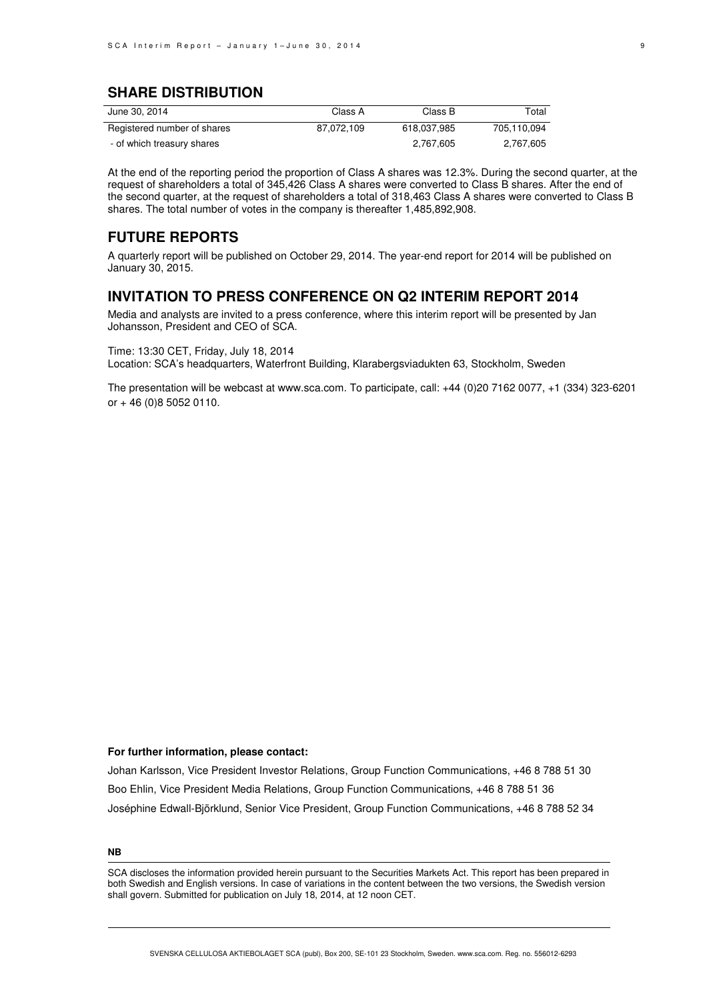### **SHARE DISTRIBUTION**

| June 30, 2014               | Class A    | Class B     | Total       |
|-----------------------------|------------|-------------|-------------|
| Registered number of shares | 87.072.109 | 618.037.985 | 705.110.094 |
| - of which treasury shares  |            | 2.767.605   | 2.767.605   |

At the end of the reporting period the proportion of Class A shares was 12.3%. During the second quarter, at the request of shareholders a total of 345,426 Class A shares were converted to Class B shares. After the end of the second quarter, at the request of shareholders a total of 318,463 Class A shares were converted to Class B shares. The total number of votes in the company is thereafter 1,485,892,908.

### **FUTURE REPORTS**

A quarterly report will be published on October 29, 2014. The year-end report for 2014 will be published on January 30, 2015.

### **INVITATION TO PRESS CONFERENCE ON Q2 INTERIM REPORT 2014**

Media and analysts are invited to a press conference, where this interim report will be presented by Jan Johansson, President and CEO of SCA.

Time: 13:30 CET, Friday, July 18, 2014 Location: SCA's headquarters, Waterfront Building, Klarabergsviadukten 63, Stockholm, Sweden

The presentation will be webcast at www.sca.com. To participate, call: +44 (0)20 7162 0077, +1 (334) 323-6201 or + 46 (0)8 5052 0110.

#### **For further information, please contact:**

Johan Karlsson, Vice President Investor Relations, Group Function Communications, +46 8 788 51 30 Boo Ehlin, Vice President Media Relations, Group Function Communications, +46 8 788 51 36 Joséphine Edwall-Björklund, Senior Vice President, Group Function Communications, +46 8 788 52 34

**NB** 

SCA discloses the information provided herein pursuant to the Securities Markets Act. This report has been prepared in both Swedish and English versions. In case of variations in the content between the two versions, the Swedish version shall govern. Submitted for publication on July 18, 2014, at 12 noon CET.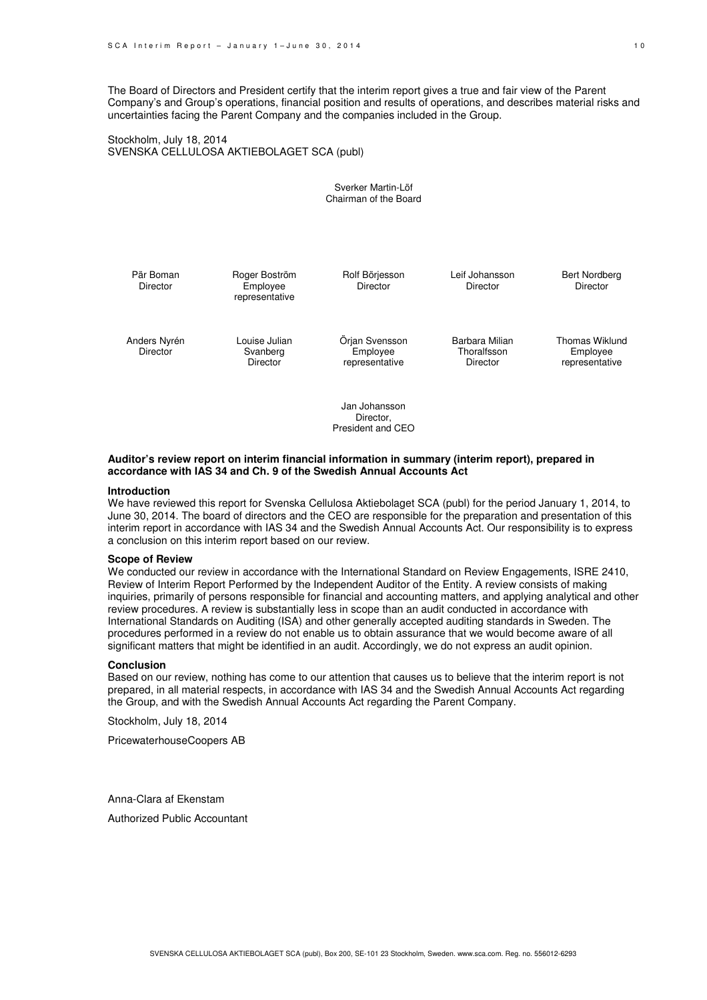The Board of Directors and President certify that the interim report gives a true and fair view of the Parent Company's and Group's operations, financial position and results of operations, and describes material risks and uncertainties facing the Parent Company and the companies included in the Group.

Stockholm, July 18, 2014 SVENSKA CELLULOSA AKTIEBOLAGET SCA (publ)

> Sverker Martin-Löf Chairman of the Board

| Pär Boman<br><b>Director</b>    | Roger Boström<br>Employee<br>representative | Rolf Börjesson<br><b>Director</b>            | Leif Johansson<br>Director                | <b>Bert Nordberg</b><br><b>Director</b>      |
|---------------------------------|---------------------------------------------|----------------------------------------------|-------------------------------------------|----------------------------------------------|
| Anders Nyrén<br><b>Director</b> | Louise Julian<br>Svanberg<br>Director       | Örjan Svensson<br>Employee<br>representative | Barbara Milian<br>Thoralfsson<br>Director | Thomas Wiklund<br>Employee<br>representative |

Jan Johansson Director, President and CEO

#### **Auditor's review report on interim financial information in summary (interim report), prepared in accordance with IAS 34 and Ch. 9 of the Swedish Annual Accounts Act**

#### **Introduction**

We have reviewed this report for Svenska Cellulosa Aktiebolaget SCA (publ) for the period January 1, 2014, to June 30, 2014. The board of directors and the CEO are responsible for the preparation and presentation of this interim report in accordance with IAS 34 and the Swedish Annual Accounts Act. Our responsibility is to express a conclusion on this interim report based on our review.

#### **Scope of Review**

We conducted our review in accordance with the International Standard on Review Engagements, ISRE 2410, Review of Interim Report Performed by the Independent Auditor of the Entity. A review consists of making inquiries, primarily of persons responsible for financial and accounting matters, and applying analytical and other review procedures. A review is substantially less in scope than an audit conducted in accordance with International Standards on Auditing (ISA) and other generally accepted auditing standards in Sweden. The procedures performed in a review do not enable us to obtain assurance that we would become aware of all significant matters that might be identified in an audit. Accordingly, we do not express an audit opinion.

#### **Conclusion**

Based on our review, nothing has come to our attention that causes us to believe that the interim report is not prepared, in all material respects, in accordance with IAS 34 and the Swedish Annual Accounts Act regarding the Group, and with the Swedish Annual Accounts Act regarding the Parent Company.

Stockholm, July 18, 2014

PricewaterhouseCoopers AB

Anna-Clara af Ekenstam Authorized Public Accountant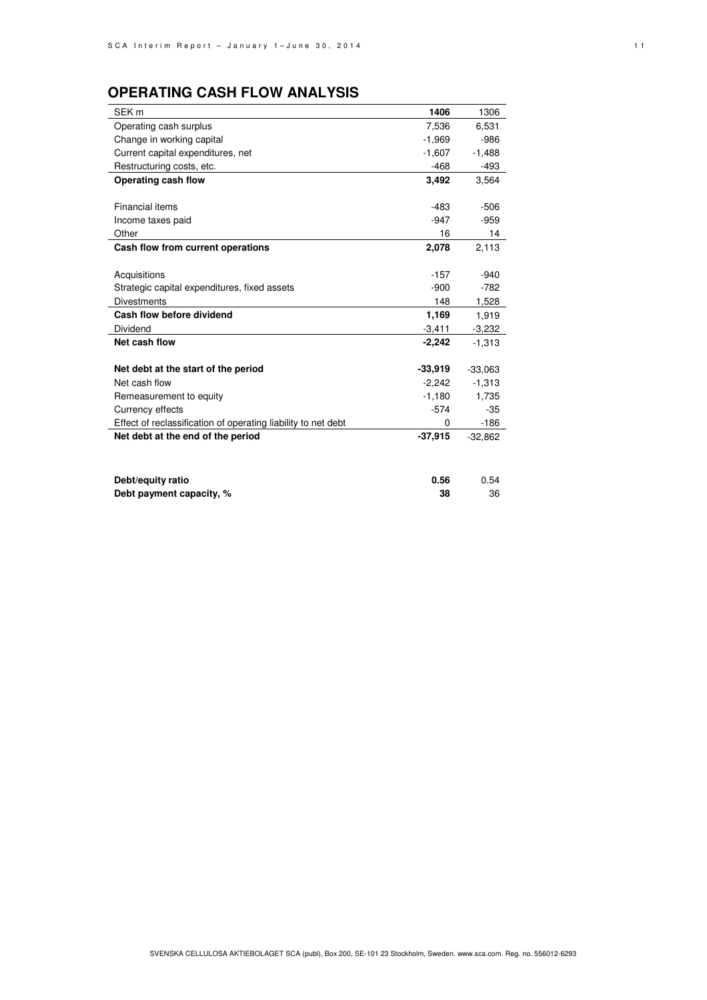# **OPERATING CASH FLOW ANALYSIS**

| SEK <sub>m</sub>                                              | 1406      | 1306      |
|---------------------------------------------------------------|-----------|-----------|
| Operating cash surplus                                        | 7,536     | 6,531     |
| Change in working capital                                     | $-1,969$  | $-986$    |
| Current capital expenditures, net                             | $-1,607$  | $-1,488$  |
| Restructuring costs, etc.                                     | $-468$    | $-493$    |
| Operating cash flow                                           | 3,492     | 3,564     |
|                                                               |           |           |
| <b>Financial items</b>                                        | $-483$    | $-506$    |
| Income taxes paid                                             | $-947$    | $-959$    |
| Other                                                         | 16        | 14        |
| Cash flow from current operations                             | 2,078     | 2,113     |
|                                                               |           |           |
| Acquisitions                                                  | $-157$    | $-940$    |
| Strategic capital expenditures, fixed assets                  | $-900$    | $-782$    |
| <b>Divestments</b>                                            | 148       | 1,528     |
| Cash flow before dividend                                     | 1,169     | 1,919     |
| Dividend                                                      | $-3,411$  | $-3,232$  |
| Net cash flow                                                 | $-2,242$  | $-1,313$  |
|                                                               |           |           |
| Net debt at the start of the period                           | $-33,919$ | $-33,063$ |
| Net cash flow                                                 | $-2,242$  | $-1,313$  |
| Remeasurement to equity                                       | $-1,180$  | 1,735     |
| Currency effects                                              | $-574$    | $-35$     |
| Effect of reclassification of operating liability to net debt | 0         | $-186$    |
| Net debt at the end of the period                             | $-37,915$ | $-32,862$ |
|                                                               |           |           |
|                                                               |           |           |
| Debt/equity ratio                                             | 0.56      | 0.54      |
| Debt payment capacity, %                                      | 38        | 36        |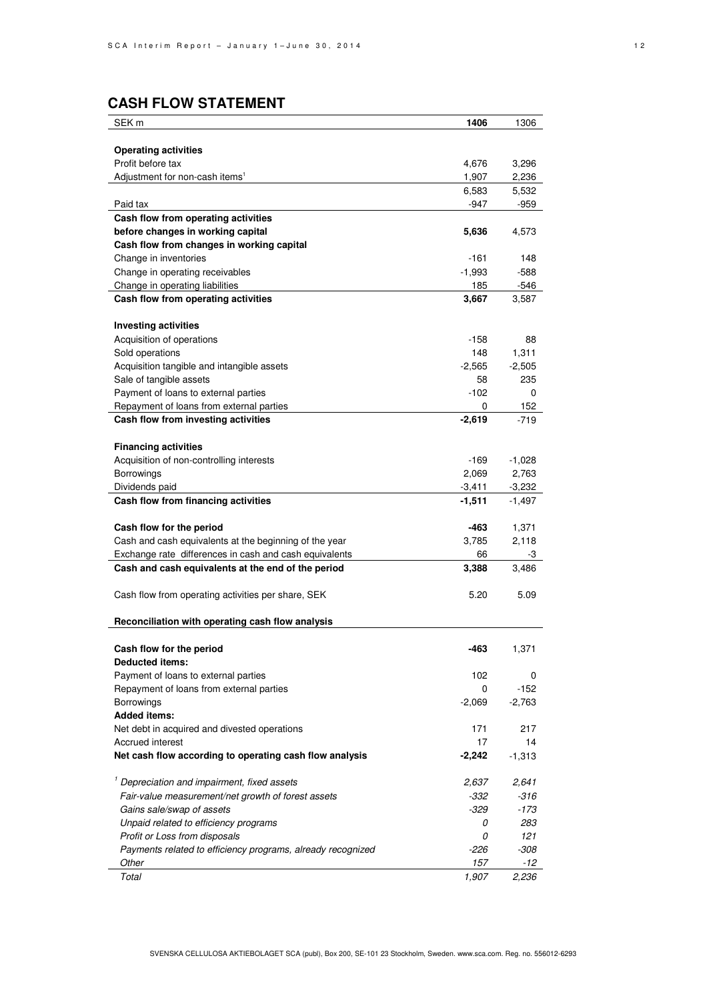# **CASH FLOW STATEMENT**

| SEK <sub>m</sub>                                            | 1406     | 1306     |
|-------------------------------------------------------------|----------|----------|
|                                                             |          |          |
| <b>Operating activities</b>                                 |          |          |
| Profit before tax                                           | 4,676    | 3,296    |
| Adjustment for non-cash items <sup>1</sup>                  | 1,907    | 2,236    |
|                                                             | 6,583    | 5,532    |
| Paid tax                                                    | $-947$   | $-959$   |
| Cash flow from operating activities                         |          |          |
| before changes in working capital                           | 5,636    | 4,573    |
| Cash flow from changes in working capital                   |          |          |
| Change in inventories                                       | $-161$   | 148      |
| Change in operating receivables                             | $-1,993$ | $-588$   |
| Change in operating liabilities                             | 185      | $-546$   |
| Cash flow from operating activities                         | 3,667    | 3,587    |
|                                                             |          |          |
| <b>Investing activities</b>                                 |          |          |
| Acquisition of operations                                   | $-158$   | 88       |
| Sold operations                                             | 148      | 1,311    |
| Acquisition tangible and intangible assets                  | $-2,565$ | $-2,505$ |
| Sale of tangible assets                                     | 58       | 235      |
| Payment of loans to external parties                        | $-102$   | 0        |
| Repayment of loans from external parties                    | 0        | 152      |
| Cash flow from investing activities                         | $-2,619$ | $-719$   |
|                                                             |          |          |
| <b>Financing activities</b>                                 |          |          |
| Acquisition of non-controlling interests                    | -169     | $-1,028$ |
| <b>Borrowings</b>                                           | 2,069    | 2,763    |
| Dividends paid                                              | $-3,411$ | $-3,232$ |
| Cash flow from financing activities                         | $-1,511$ | $-1,497$ |
|                                                             |          |          |
| Cash flow for the period                                    | -463     | 1,371    |
| Cash and cash equivalents at the beginning of the year      | 3,785    | 2,118    |
| Exchange rate differences in cash and cash equivalents      | 66       | -3       |
| Cash and cash equivalents at the end of the period          | 3,388    | 3,486    |
|                                                             |          |          |
| Cash flow from operating activities per share, SEK          | 5.20     | 5.09     |
|                                                             |          |          |
| Reconciliation with operating cash flow analysis            |          |          |
|                                                             |          |          |
| Cash flow for the period                                    | $-463$   | 1,371    |
| <b>Deducted items:</b>                                      |          |          |
| Payment of loans to external parties                        | 102      | 0        |
| Repayment of loans from external parties                    | 0        | $-152$   |
| Borrowings                                                  | $-2,069$ | $-2,763$ |
| <b>Added items:</b>                                         |          |          |
| Net debt in acquired and divested operations                | 171      | 217      |
| Accrued interest                                            | 17       | 14       |
| Net cash flow according to operating cash flow analysis     | $-2,242$ | $-1,313$ |
|                                                             |          |          |
| <sup>1</sup> Depreciation and impairment, fixed assets      | 2,637    | 2,641    |
| Fair-value measurement/net growth of forest assets          | -332     | -316     |
| Gains sale/swap of assets                                   | -329     | $-173$   |
| Unpaid related to efficiency programs                       | 0        | 283      |
| Profit or Loss from disposals                               | 0        | 121      |
| Payments related to efficiency programs, already recognized | $-226$   | $-308$   |
| Other                                                       | 157      | -12      |
| Total                                                       | 1,907    | 2,236    |
|                                                             |          |          |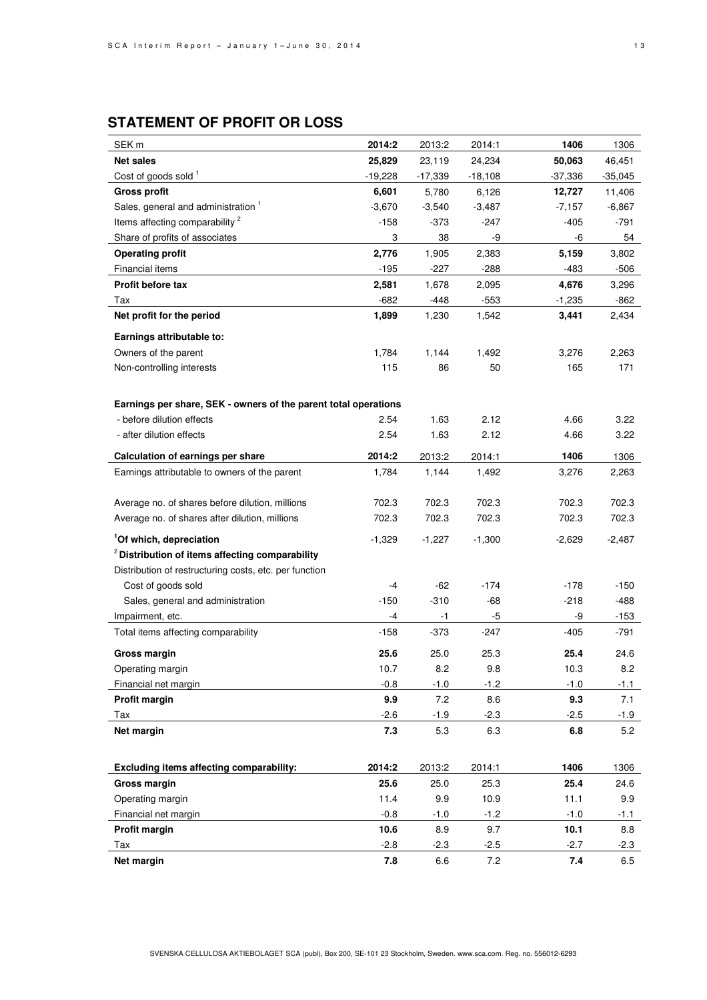# **STATEMENT OF PROFIT OR LOSS**

| SEK <sub>m</sub>                                                | 2014:2   | 2013:2    | 2014:1    | 1406      | 1306      |
|-----------------------------------------------------------------|----------|-----------|-----------|-----------|-----------|
| <b>Net sales</b>                                                | 25,829   | 23,119    | 24,234    | 50,063    | 46,451    |
| Cost of goods sold <sup>1</sup>                                 | -19,228  | $-17,339$ | $-18,108$ | $-37,336$ | $-35,045$ |
| <b>Gross profit</b>                                             | 6,601    | 5,780     | 6,126     | 12,727    | 11,406    |
| Sales, general and administration <sup>1</sup>                  | $-3,670$ | $-3,540$  | $-3,487$  | $-7,157$  | $-6,867$  |
| Items affecting comparability <sup>2</sup>                      | -158     | $-373$    | $-247$    | -405      | $-791$    |
| Share of profits of associates                                  | 3        | 38        | -9        | -6        | 54        |
| <b>Operating profit</b>                                         | 2,776    | 1,905     | 2,383     | 5,159     | 3,802     |
| Financial items                                                 | $-195$   | $-227$    | $-288$    | -483      | $-506$    |
| Profit before tax                                               | 2,581    | 1,678     | 2,095     | 4,676     | 3,296     |
| Тах                                                             | $-682$   | $-448$    | $-553$    | $-1,235$  | $-862$    |
| Net profit for the period                                       | 1,899    | 1,230     | 1,542     | 3,441     | 2,434     |
| Earnings attributable to:                                       |          |           |           |           |           |
| Owners of the parent                                            | 1,784    | 1,144     | 1,492     | 3,276     | 2,263     |
| Non-controlling interests                                       | 115      | 86        | 50        | 165       | 171       |
|                                                                 |          |           |           |           |           |
| Earnings per share, SEK - owners of the parent total operations |          |           |           |           |           |
| - before dilution effects                                       | 2.54     | 1.63      | 2.12      | 4.66      | 3.22      |
| - after dilution effects                                        | 2.54     | 1.63      | 2.12      | 4.66      | 3.22      |
|                                                                 |          |           |           |           |           |
| Calculation of earnings per share                               | 2014:2   | 2013:2    | 2014:1    | 1406      | 1306      |
| Earnings attributable to owners of the parent                   | 1,784    | 1,144     | 1,492     | 3,276     | 2,263     |
|                                                                 |          |           | 702.3     |           |           |
| Average no. of shares before dilution, millions                 | 702.3    | 702.3     |           | 702.3     | 702.3     |
| Average no. of shares after dilution, millions                  | 702.3    | 702.3     | 702.3     | 702.3     | 702.3     |
| <sup>1</sup> Of which, depreciation                             | $-1,329$ | $-1,227$  | $-1,300$  | $-2,629$  | $-2,487$  |
| <sup>2</sup> Distribution of items affecting comparability      |          |           |           |           |           |
| Distribution of restructuring costs, etc. per function          |          |           |           |           |           |
| Cost of goods sold                                              | -4       | $-62$     | $-174$    | $-178$    | $-150$    |
| Sales, general and administration                               | $-150$   | $-310$    | $-68$     | $-218$    | $-488$    |
| Impairment, etc.                                                | -4       | -1        | -5        | -9        | $-153$    |
| Total items affecting comparability                             | $-158$   | -373      | $-247$    | $-405$    | -791      |
| <b>Gross margin</b>                                             | 25.6     | 25.0      | 25.3      | 25.4      | 24.6      |
| Operating margin                                                | 10.7     | 8.2       | 9.8       | 10.3      | 8.2       |
| Financial net margin                                            | $-0.8$   | $-1.0$    | $-1.2$    | $-1.0$    | $-1.1$    |
| Profit margin                                                   | 9.9      | 7.2       | 8.6       | 9.3       | 7.1       |
| Tax                                                             | $-2.6$   | $-1.9$    | $-2.3$    | $-2.5$    | $-1.9$    |
| Net margin                                                      | 7.3      | 5.3       | 6.3       | $6.8\,$   | 5.2       |
|                                                                 |          |           |           |           |           |
| <b>Excluding items affecting comparability:</b>                 | 2014:2   | 2013:2    | 2014:1    | 1406      | 1306      |
| Gross margin                                                    | 25.6     | 25.0      | 25.3      | 25.4      | 24.6      |
| Operating margin                                                | 11.4     | 9.9       | 10.9      | 11.1      | 9.9       |
| Financial net margin                                            | $-0.8$   | $-1.0$    | $-1.2$    | $-1.0$    | $-1.1$    |
| <b>Profit margin</b>                                            | 10.6     | 8.9       | 9.7       | 10.1      | 8.8       |
| Tax                                                             | $-2.8$   | $-2.3$    | $-2.5$    | $-2.7$    | $-2.3$    |
| Net margin                                                      | 7.8      | 6.6       | 7.2       | 7.4       | 6.5       |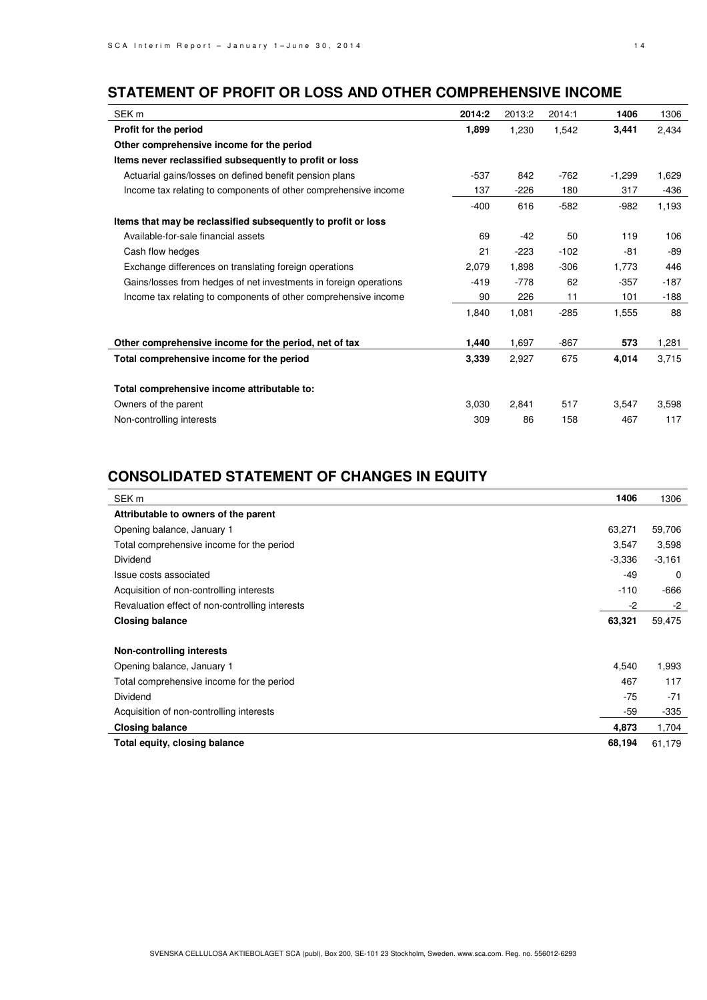# **STATEMENT OF PROFIT OR LOSS AND OTHER COMPREHENSIVE INCOME**

| SEK <sub>m</sub>                                                  | 2014:2 | 2013:2 | 2014:1 | 1406     | 1306   |
|-------------------------------------------------------------------|--------|--------|--------|----------|--------|
| Profit for the period                                             | 1,899  | 1,230  | 1,542  | 3,441    | 2,434  |
| Other comprehensive income for the period                         |        |        |        |          |        |
| Items never reclassified subsequently to profit or loss           |        |        |        |          |        |
| Actuarial gains/losses on defined benefit pension plans           | $-537$ | 842    | $-762$ | $-1,299$ | 1,629  |
| Income tax relating to components of other comprehensive income   | 137    | $-226$ | 180    | 317      | -436   |
|                                                                   | $-400$ | 616    | $-582$ | $-982$   | 1,193  |
| Items that may be reclassified subsequently to profit or loss     |        |        |        |          |        |
| Available-for-sale financial assets                               | 69     | $-42$  | 50     | 119      | 106    |
| Cash flow hedges                                                  | 21     | $-223$ | $-102$ | -81      | -89    |
| Exchange differences on translating foreign operations            | 2,079  | 1,898  | $-306$ | 1,773    | 446    |
| Gains/losses from hedges of net investments in foreign operations | $-419$ | $-778$ | 62     | $-357$   | $-187$ |
| Income tax relating to components of other comprehensive income   | 90     | 226    | 11     | 101      | $-188$ |
|                                                                   | 1,840  | 1,081  | $-285$ | 1,555    | 88     |
| Other comprehensive income for the period, net of tax             | 1,440  | 1,697  | $-867$ | 573      | 1,281  |
| Total comprehensive income for the period                         | 3,339  | 2,927  | 675    | 4,014    | 3,715  |
| Total comprehensive income attributable to:                       |        |        |        |          |        |
| Owners of the parent                                              | 3,030  | 2,841  | 517    | 3,547    | 3,598  |
| Non-controlling interests                                         | 309    | 86     | 158    | 467      | 117    |
|                                                                   |        |        |        |          |        |

# **CONSOLIDATED STATEMENT OF CHANGES IN EQUITY**

| SEK <sub>m</sub>                                | 1406     | 1306     |
|-------------------------------------------------|----------|----------|
| Attributable to owners of the parent            |          |          |
| Opening balance, January 1                      | 63,271   | 59,706   |
| Total comprehensive income for the period       | 3,547    | 3,598    |
| Dividend                                        | $-3,336$ | $-3,161$ |
| Issue costs associated                          | -49      | $\Omega$ |
| Acquisition of non-controlling interests        | $-110$   | -666     |
| Revaluation effect of non-controlling interests | -2       | -2       |
| <b>Closing balance</b>                          | 63,321   | 59,475   |
| Non-controlling interests                       |          |          |
| Opening balance, January 1                      | 4,540    | 1,993    |
| Total comprehensive income for the period       | 467      | 117      |
| Dividend                                        | $-75$    | $-71$    |
| Acquisition of non-controlling interests        | -59      | $-335$   |
| <b>Closing balance</b>                          | 4,873    | 1,704    |
| Total equity, closing balance                   | 68,194   | 61,179   |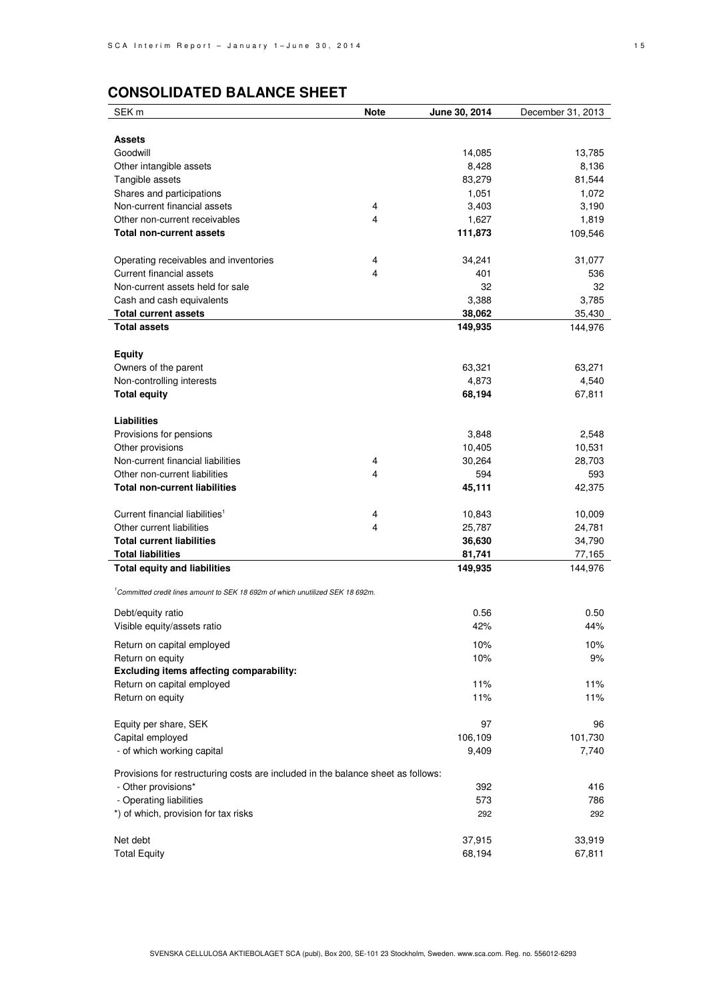# **CONSOLIDATED BALANCE SHEET**

| SEK <sub>m</sub>                                                                           | <b>Note</b> | June 30, 2014 | December 31, 2013 |
|--------------------------------------------------------------------------------------------|-------------|---------------|-------------------|
|                                                                                            |             |               |                   |
| <b>Assets</b>                                                                              |             |               |                   |
| Goodwill                                                                                   |             | 14,085        | 13,785            |
| Other intangible assets                                                                    |             | 8,428         | 8,136             |
| Tangible assets                                                                            |             | 83,279        | 81,544            |
| Shares and participations                                                                  |             | 1,051         | 1,072             |
| Non-current financial assets                                                               | 4           | 3,403         | 3,190             |
| Other non-current receivables                                                              | 4           | 1,627         | 1,819             |
| Total non-current assets                                                                   |             | 111,873       | 109,546           |
|                                                                                            |             |               |                   |
| Operating receivables and inventories                                                      | 4           | 34,241        | 31,077            |
| Current financial assets                                                                   | 4           | 401           | 536               |
| Non-current assets held for sale                                                           |             | 32            | 32                |
| Cash and cash equivalents                                                                  |             | 3,388         | 3,785             |
| <b>Total current assets</b>                                                                |             | 38,062        | 35,430            |
| <b>Total assets</b>                                                                        |             | 149,935       | 144,976           |
|                                                                                            |             |               |                   |
| <b>Equity</b>                                                                              |             |               |                   |
| Owners of the parent                                                                       |             | 63,321        | 63,271            |
| Non-controlling interests                                                                  |             | 4,873         | 4,540             |
| <b>Total equity</b>                                                                        |             | 68,194        | 67,811            |
|                                                                                            |             |               |                   |
| Liabilities                                                                                |             |               |                   |
| Provisions for pensions                                                                    |             | 3,848         | 2,548             |
| Other provisions                                                                           |             | 10,405        | 10,531            |
| Non-current financial liabilities                                                          | 4           | 30,264        | 28,703            |
| Other non-current liabilities                                                              | 4           | 594           | 593               |
| <b>Total non-current liabilities</b>                                                       |             | 45,111        | 42,375            |
|                                                                                            |             |               |                   |
| Current financial liabilities <sup>1</sup>                                                 | 4           | 10,843        | 10,009            |
| Other current liabilities                                                                  | 4           | 25,787        | 24,781            |
| <b>Total current liabilities</b>                                                           |             | 36,630        | 34,790            |
| <b>Total liabilities</b>                                                                   |             | 81,741        | 77,165            |
| <b>Total equity and liabilities</b>                                                        |             | 149,935       | 144,976           |
| <sup>1</sup> Committed credit lines amount to SEK 18 692m of which unutilized SEK 18 692m. |             |               |                   |
|                                                                                            |             |               |                   |
| Debt/equity ratio                                                                          |             | 0.56          | 0.50              |
| Visible equity/assets ratio                                                                |             | 42%           | 44%               |
| Return on capital employed                                                                 |             | 10%           | 10%               |
| Return on equity                                                                           |             | 10%           | 9%                |
| Excluding items affecting comparability:                                                   |             |               |                   |
| Return on capital employed                                                                 |             | 11%           | 11%               |
| Return on equity                                                                           |             | 11%           | 11%               |
|                                                                                            |             |               |                   |
| Equity per share, SEK                                                                      |             | 97            | 96                |
| Capital employed                                                                           |             | 106,109       | 101,730           |
| - of which working capital                                                                 |             | 9,409         | 7,740             |
|                                                                                            |             |               |                   |
| Provisions for restructuring costs are included in the balance sheet as follows:           |             |               |                   |
| - Other provisions*                                                                        |             | 392           | 416               |
| - Operating liabilities                                                                    |             | 573           | 786               |
| *) of which, provision for tax risks                                                       |             | 292           | 292               |
|                                                                                            |             |               |                   |
| Net debt                                                                                   |             | 37,915        | 33,919            |
| <b>Total Equity</b>                                                                        |             | 68,194        | 67,811            |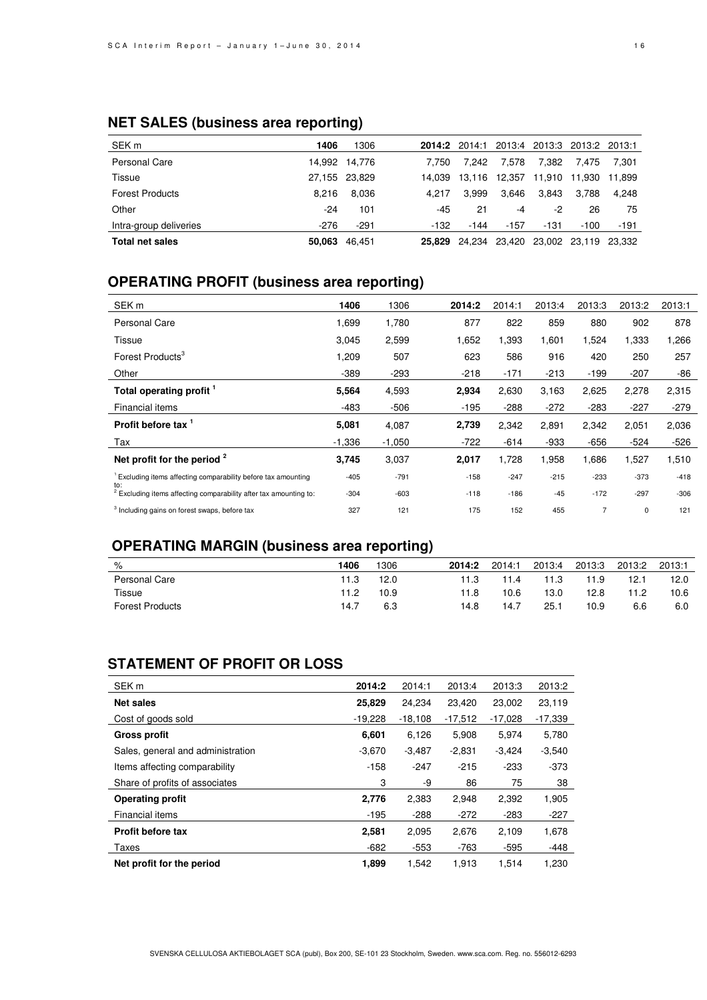# **NET SALES (business area reporting)**

| SEK <sub>m</sub>       | 1406   | 1306          |        | 2014:2 2014:1 | 2013:4 |        | 2013:3 2013:2 2013:1 |        |
|------------------------|--------|---------------|--------|---------------|--------|--------|----------------------|--------|
| <b>Personal Care</b>   |        | 14.992 14.776 | 7.750  | 7.242         | 7.578  | 7.382  | 7.475                | 7.301  |
| Tissue                 |        | 27,155 23,829 | 14.039 | 13.116        | 12,357 | 11,910 | 11.930               | 11.899 |
| <b>Forest Products</b> | 8.216  | 8.036         | 4.217  | 3.999         | 3.646  | 3.843  | 3.788                | 4.248  |
| Other                  | $-24$  | 101           | -45    | 21            | -4     | -2     | 26                   | 75     |
| Intra-group deliveries | $-276$ | $-291$        | -132   | $-144$        | $-157$ | -131   | $-100$               | -191   |
| <b>Total net sales</b> | 50.063 | 46.451        | 25.829 | 24,234 23,420 |        |        | 23,002 23,119 23,332 |        |

# **OPERATING PROFIT (business area reporting)**

| SEK <sub>m</sub>                                                                    | 1406     | 1306     | 2014:2 | 2014:1 | 2013:4 | 2013:3 | 2013:2 | 2013:1 |
|-------------------------------------------------------------------------------------|----------|----------|--------|--------|--------|--------|--------|--------|
| <b>Personal Care</b>                                                                | 1,699    | 1,780    | 877    | 822    | 859    | 880    | 902    | 878    |
| Tissue                                                                              | 3,045    | 2,599    | 1,652  | 1,393  | 1,601  | 1,524  | 1,333  | 1,266  |
| Forest Products <sup>3</sup>                                                        | 1,209    | 507      | 623    | 586    | 916    | 420    | 250    | 257    |
| Other                                                                               | $-389$   | $-293$   | $-218$ | $-171$ | -213   | $-199$ | $-207$ | -86    |
| Total operating profit 1                                                            | 5,564    | 4,593    | 2,934  | 2,630  | 3,163  | 2,625  | 2,278  | 2,315  |
| Financial items                                                                     | -483     | $-506$   | $-195$ | $-288$ | $-272$ | $-283$ | $-227$ | $-279$ |
| Profit before tax <sup>1</sup>                                                      | 5,081    | 4,087    | 2,739  | 2,342  | 2,891  | 2,342  | 2,051  | 2,036  |
| Tax                                                                                 | $-1,336$ | $-1,050$ | $-722$ | $-614$ | $-933$ | $-656$ | $-524$ | -526   |
| Net profit for the period $2$                                                       | 3,745    | 3,037    | 2,017  | 1,728  | 1,958  | 1,686  | 1,527  | 1,510  |
| <sup>1</sup> Excluding items affecting comparability before tax amounting           | $-405$   | $-791$   | $-158$ | $-247$ | $-215$ | $-233$ | $-373$ | $-418$ |
| to:<br><sup>2</sup> Excluding items affecting comparability after tax amounting to: | $-304$   | $-603$   | $-118$ | $-186$ | $-45$  | $-172$ | $-297$ | $-306$ |
| <sup>3</sup> Including gains on forest swaps, before tax                            | 327      | 121      | 175    | 152    | 455    | 7      | 0      | 121    |

# **OPERATING MARGIN (business area reporting)**

| %                      | 1406 | 1306 | 2014:2 | 2014:1 | 2013:4 | 2013:3 | 2013:2 | 2013:1 |
|------------------------|------|------|--------|--------|--------|--------|--------|--------|
| Personal Care          | 11.3 | 12.0 | 11.3   | 11.4   | 11.3   | 11.9   | 12.1   | 12.0   |
| Tissue                 | 11.2 | 10.9 | 11.8   | 10.6   | 13.0   | 12.8   | 11.2   | 10.6   |
| <b>Forest Products</b> | 14.7 | 6.3  | 14.8   | 14.7   | 25.1   | 10.9   | 6.6    | 6.0    |

# **STATEMENT OF PROFIT OR LOSS**

| SEK <sub>m</sub>                  | 2014:2    | 2014:1    | 2013:4    | 2013:3    | 2013:2    |
|-----------------------------------|-----------|-----------|-----------|-----------|-----------|
| <b>Net sales</b>                  | 25,829    | 24.234    | 23.420    | 23.002    | 23,119    |
| Cost of goods sold                | $-19,228$ | $-18.108$ | $-17.512$ | $-17.028$ | $-17,339$ |
| Gross profit                      | 6,601     | 6.126     | 5,908     | 5.974     | 5,780     |
| Sales, general and administration | $-3,670$  | $-3,487$  | $-2,831$  | $-3,424$  | $-3,540$  |
| Items affecting comparability     | $-158$    | $-247$    | $-215$    | $-233$    | $-373$    |
| Share of profits of associates    | 3         | -9        | 86        | 75        | 38        |
| <b>Operating profit</b>           | 2,776     | 2,383     | 2,948     | 2,392     | 1,905     |
| Financial items                   | $-195$    | $-288$    | $-272$    | $-283$    | $-227$    |
| <b>Profit before tax</b>          | 2,581     | 2,095     | 2,676     | 2,109     | 1,678     |
| Taxes                             | $-682$    | $-553$    | $-763$    | $-595$    | -448      |
| Net profit for the period         | 1,899     | 1.542     | 1.913     | 1.514     | 1.230     |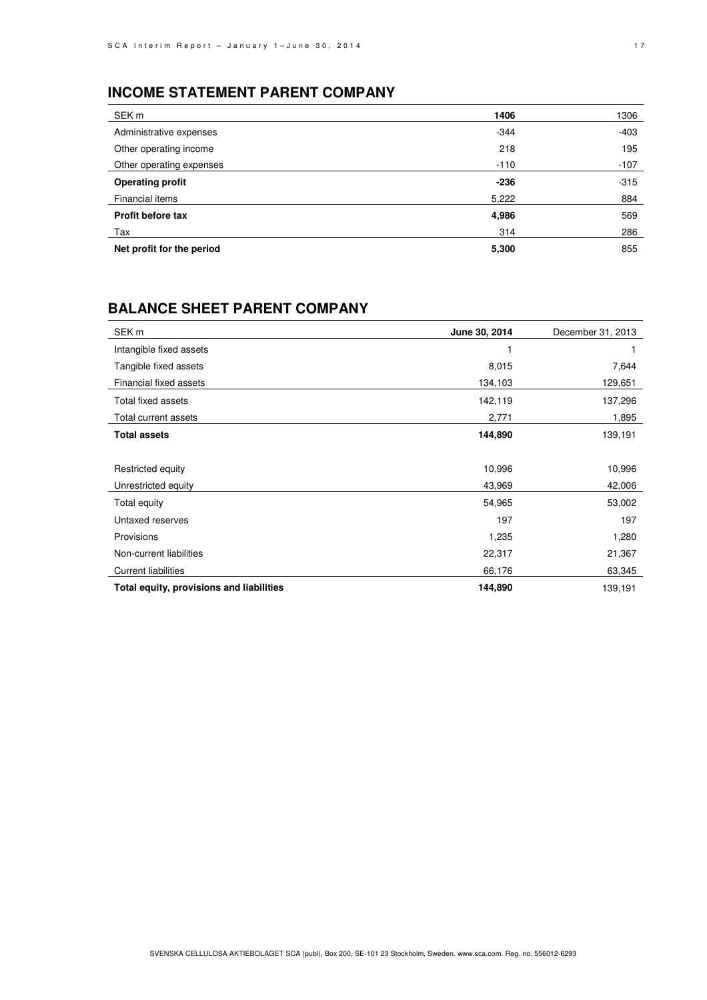# **INCOME STATEMENT PARENT COMPANY**

| SEK m                     | 1406   | 1306   |
|---------------------------|--------|--------|
| Administrative expenses   | $-344$ | $-403$ |
| Other operating income    | 218    | 195    |
| Other operating expenses  | $-110$ | $-107$ |
| <b>Operating profit</b>   | $-236$ | $-315$ |
| Financial items           | 5,222  | 884    |
| <b>Profit before tax</b>  | 4,986  | 569    |
| Tax                       | 314    | 286    |
| Net profit for the period | 5,300  | 855    |

# **BALANCE SHEET PARENT COMPANY**

| SEK <sub>m</sub>                         | June 30, 2014 | December 31, 2013 |
|------------------------------------------|---------------|-------------------|
| Intangible fixed assets                  |               |                   |
| Tangible fixed assets                    | 8,015         | 7,644             |
| Financial fixed assets                   | 134,103       | 129,651           |
| Total fixed assets                       | 142,119       | 137,296           |
| Total current assets                     | 2,771         | 1,895             |
| <b>Total assets</b>                      | 144,890       | 139,191           |
|                                          |               |                   |
| Restricted equity                        | 10,996        | 10,996            |
| Unrestricted equity                      | 43,969        | 42,006            |
| Total equity                             | 54,965        | 53,002            |
| Untaxed reserves                         | 197           | 197               |
| Provisions                               | 1,235         | 1,280             |
| Non-current liabilities                  | 22,317        | 21,367            |
| <b>Current liabilities</b>               | 66,176        | 63,345            |
| Total equity, provisions and liabilities | 144,890       | 139,191           |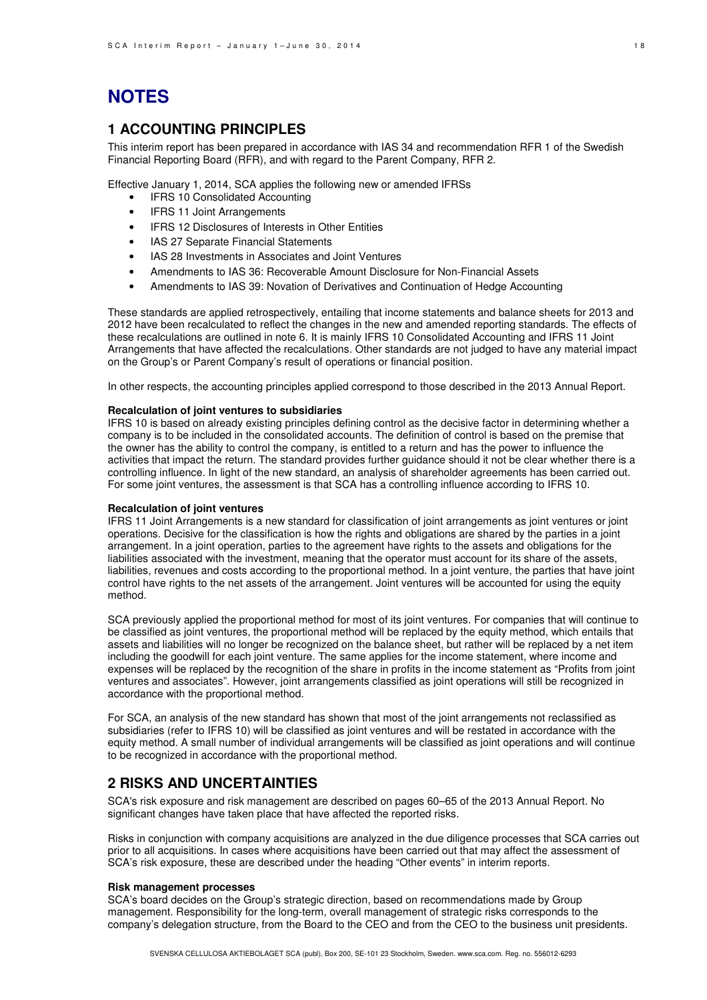# **NOTES**

### **1 ACCOUNTING PRINCIPLES**

This interim report has been prepared in accordance with IAS 34 and recommendation RFR 1 of the Swedish Financial Reporting Board (RFR), and with regard to the Parent Company, RFR 2.

Effective January 1, 2014, SCA applies the following new or amended IFRSs

- IFRS 10 Consolidated Accounting
- IFRS 11 Joint Arrangements
- IFRS 12 Disclosures of Interests in Other Entities
- IAS 27 Separate Financial Statements
- IAS 28 Investments in Associates and Joint Ventures
- Amendments to IAS 36: Recoverable Amount Disclosure for Non-Financial Assets
- Amendments to IAS 39: Novation of Derivatives and Continuation of Hedge Accounting

These standards are applied retrospectively, entailing that income statements and balance sheets for 2013 and 2012 have been recalculated to reflect the changes in the new and amended reporting standards. The effects of these recalculations are outlined in note 6. It is mainly IFRS 10 Consolidated Accounting and IFRS 11 Joint Arrangements that have affected the recalculations. Other standards are not judged to have any material impact on the Group's or Parent Company's result of operations or financial position.

In other respects, the accounting principles applied correspond to those described in the 2013 Annual Report.

### **Recalculation of joint ventures to subsidiaries**

IFRS 10 is based on already existing principles defining control as the decisive factor in determining whether a company is to be included in the consolidated accounts. The definition of control is based on the premise that the owner has the ability to control the company, is entitled to a return and has the power to influence the activities that impact the return. The standard provides further guidance should it not be clear whether there is a controlling influence. In light of the new standard, an analysis of shareholder agreements has been carried out. For some joint ventures, the assessment is that SCA has a controlling influence according to IFRS 10.

#### **Recalculation of joint ventures**

IFRS 11 Joint Arrangements is a new standard for classification of joint arrangements as joint ventures or joint operations. Decisive for the classification is how the rights and obligations are shared by the parties in a joint arrangement. In a joint operation, parties to the agreement have rights to the assets and obligations for the liabilities associated with the investment, meaning that the operator must account for its share of the assets, liabilities, revenues and costs according to the proportional method. In a joint venture, the parties that have joint control have rights to the net assets of the arrangement. Joint ventures will be accounted for using the equity method.

SCA previously applied the proportional method for most of its joint ventures. For companies that will continue to be classified as joint ventures, the proportional method will be replaced by the equity method, which entails that assets and liabilities will no longer be recognized on the balance sheet, but rather will be replaced by a net item including the goodwill for each joint venture. The same applies for the income statement, where income and expenses will be replaced by the recognition of the share in profits in the income statement as "Profits from joint ventures and associates". However, joint arrangements classified as joint operations will still be recognized in accordance with the proportional method.

For SCA, an analysis of the new standard has shown that most of the joint arrangements not reclassified as subsidiaries (refer to IFRS 10) will be classified as joint ventures and will be restated in accordance with the equity method. A small number of individual arrangements will be classified as joint operations and will continue to be recognized in accordance with the proportional method.

### **2 RISKS AND UNCERTAINTIES**

SCA's risk exposure and risk management are described on pages 60–65 of the 2013 Annual Report. No significant changes have taken place that have affected the reported risks.

Risks in conjunction with company acquisitions are analyzed in the due diligence processes that SCA carries out prior to all acquisitions. In cases where acquisitions have been carried out that may affect the assessment of SCA's risk exposure, these are described under the heading "Other events" in interim reports.

#### **Risk management processes**

SCA's board decides on the Group's strategic direction, based on recommendations made by Group management. Responsibility for the long-term, overall management of strategic risks corresponds to the company's delegation structure, from the Board to the CEO and from the CEO to the business unit presidents.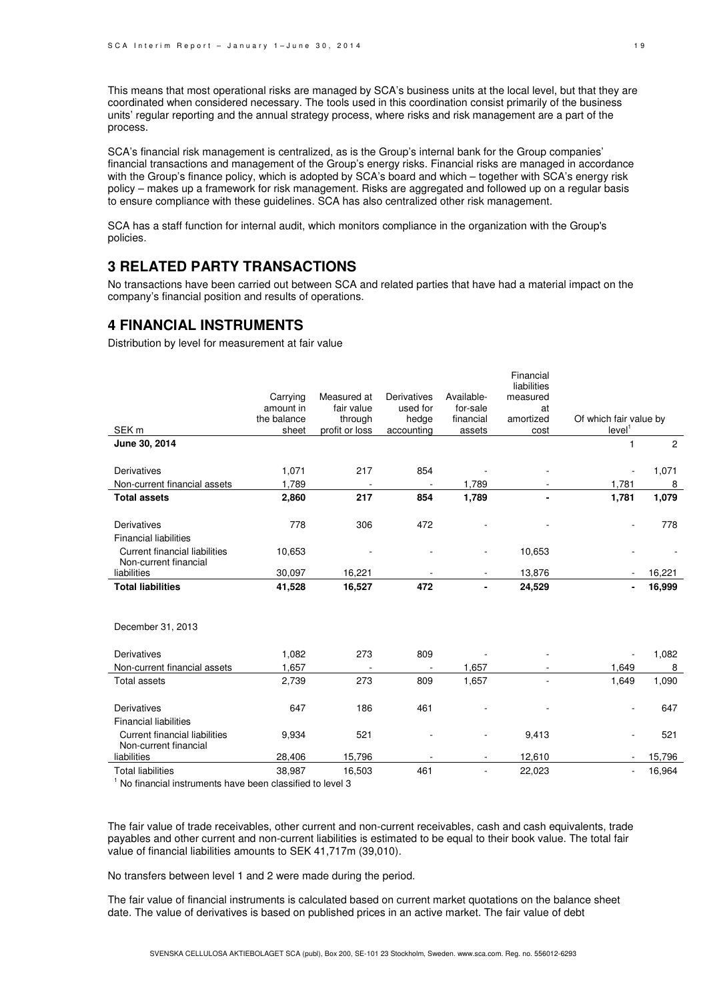This means that most operational risks are managed by SCA's business units at the local level, but that they are coordinated when considered necessary. The tools used in this coordination consist primarily of the business units' regular reporting and the annual strategy process, where risks and risk management are a part of the process.

SCA's financial risk management is centralized, as is the Group's internal bank for the Group companies' financial transactions and management of the Group's energy risks. Financial risks are managed in accordance with the Group's finance policy, which is adopted by SCA's board and which – together with SCA's energy risk policy – makes up a framework for risk management. Risks are aggregated and followed up on a regular basis to ensure compliance with these guidelines. SCA has also centralized other risk management.

SCA has a staff function for internal audit, which monitors compliance in the organization with the Group's policies.

### **3 RELATED PARTY TRANSACTIONS**

No transactions have been carried out between SCA and related parties that have had a material impact on the company's financial position and results of operations.

### **4 FINANCIAL INSTRUMENTS**

Distribution by level for measurement at fair value

|                                                               |             |                |                          |                | Financial<br>liabilities |                          |        |
|---------------------------------------------------------------|-------------|----------------|--------------------------|----------------|--------------------------|--------------------------|--------|
|                                                               | Carrying    | Measured at    | Derivatives              | Available-     | measured                 |                          |        |
|                                                               | amount in   | fair value     | used for                 | for-sale       | at                       |                          |        |
|                                                               | the balance | through        | hedge                    | financial      | amortized                | Of which fair value by   |        |
| SEK <sub>m</sub>                                              | sheet       | profit or loss | accounting               | assets         | cost                     | level <sup>1</sup>       |        |
| June 30, 2014                                                 |             |                |                          |                |                          | $\mathbf{1}$             | 2      |
| Derivatives                                                   | 1,071       | 217            | 854                      |                |                          | $\overline{\phantom{a}}$ | 1,071  |
| Non-current financial assets                                  | 1,789       |                |                          | 1,789          |                          | 1,781                    | 8      |
| <b>Total assets</b>                                           | 2,860       | 217            | 854                      | 1,789          |                          | 1,781                    | 1,079  |
| Derivatives<br><b>Financial liabilities</b>                   | 778         | 306            | 472                      |                |                          | ٠                        | 778    |
| <b>Current financial liabilities</b><br>Non-current financial | 10,653      |                |                          |                | 10,653                   |                          |        |
| liabilities                                                   | 30,097      | 16,221         |                          |                | 13,876                   |                          | 16,221 |
| <b>Total liabilities</b>                                      | 41,528      | 16,527         | 472                      | ۰              | 24,529                   |                          | 16,999 |
| December 31, 2013                                             |             |                |                          |                |                          |                          |        |
| Derivatives                                                   | 1,082       | 273            | 809                      |                |                          |                          | 1,082  |
| Non-current financial assets                                  | 1,657       |                |                          | 1,657          |                          | 1,649                    | 8      |
| <b>Total assets</b>                                           | 2,739       | 273            | 809                      | 1,657          |                          | 1,649                    | 1,090  |
| <b>Derivatives</b>                                            | 647         | 186            | 461                      |                |                          |                          | 647    |
| <b>Financial liabilities</b>                                  |             |                |                          |                |                          |                          |        |
| <b>Current financial liabilities</b><br>Non-current financial | 9,934       | 521            |                          |                | 9,413                    | ٠                        | 521    |
| liabilities                                                   | 28,406      | 15,796         | $\overline{\phantom{a}}$ | $\blacksquare$ | 12,610                   | $\overline{\phantom{a}}$ | 15,796 |
| <b>Total liabilities</b><br>.                                 | 38,987      | 16,503         | 461                      | $\blacksquare$ | 22,023                   | ÷.                       | 16,964 |

<sup>1</sup> No financial instruments have been classified to level 3

The fair value of trade receivables, other current and non-current receivables, cash and cash equivalents, trade payables and other current and non-current liabilities is estimated to be equal to their book value. The total fair value of financial liabilities amounts to SEK 41,717m (39,010).

No transfers between level 1 and 2 were made during the period.

The fair value of financial instruments is calculated based on current market quotations on the balance sheet date. The value of derivatives is based on published prices in an active market. The fair value of debt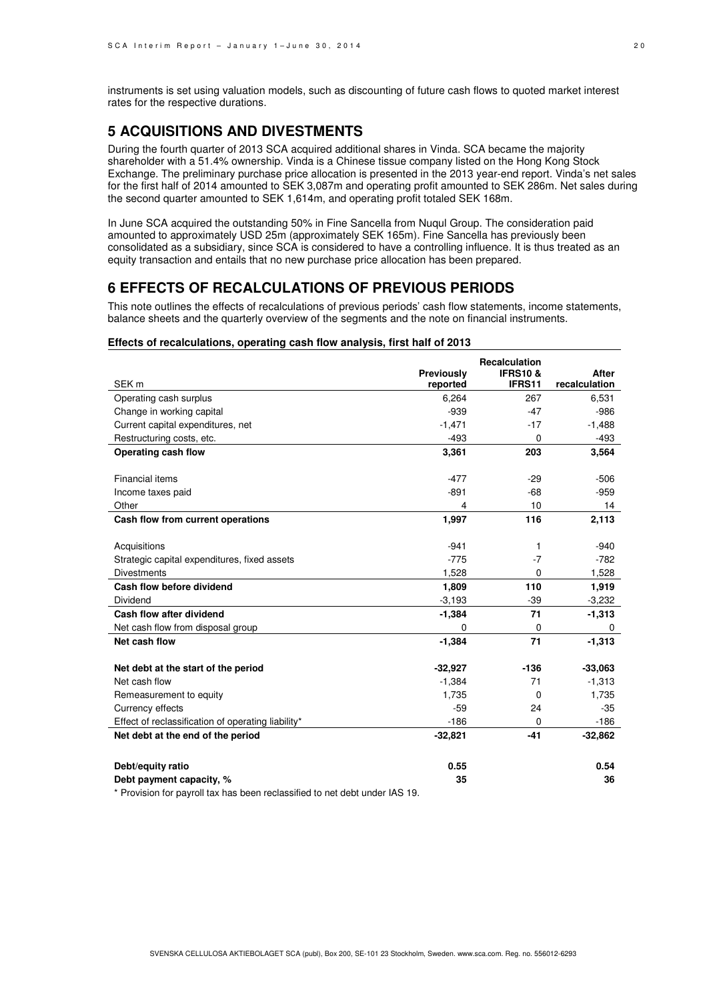instruments is set using valuation models, such as discounting of future cash flows to quoted market interest rates for the respective durations.

### **5 ACQUISITIONS AND DIVESTMENTS**

During the fourth quarter of 2013 SCA acquired additional shares in Vinda. SCA became the majority shareholder with a 51.4% ownership. Vinda is a Chinese tissue company listed on the Hong Kong Stock Exchange. The preliminary purchase price allocation is presented in the 2013 year-end report. Vinda's net sales for the first half of 2014 amounted to SEK 3,087m and operating profit amounted to SEK 286m. Net sales during the second quarter amounted to SEK 1,614m, and operating profit totaled SEK 168m.

In June SCA acquired the outstanding 50% in Fine Sancella from Nuqul Group. The consideration paid amounted to approximately USD 25m (approximately SEK 165m). Fine Sancella has previously been consolidated as a subsidiary, since SCA is considered to have a controlling influence. It is thus treated as an equity transaction and entails that no new purchase price allocation has been prepared.

# **6 EFFECTS OF RECALCULATIONS OF PREVIOUS PERIODS**

This note outlines the effects of recalculations of previous periods' cash flow statements, income statements, balance sheets and the quarterly overview of the segments and the note on financial instruments.

#### **Effects of recalculations, operating cash flow analysis, first half of 2013**

| SEK <sub>m</sub>                                   | Previously<br>reported | <b>Recalculation</b><br><b>IFRS10 &amp;</b><br>IFRS11 | <b>After</b><br>recalculation |
|----------------------------------------------------|------------------------|-------------------------------------------------------|-------------------------------|
| Operating cash surplus                             | 6,264                  | 267                                                   | 6,531                         |
| Change in working capital                          | $-939$                 | $-47$                                                 | $-986$                        |
| Current capital expenditures, net                  | $-1,471$               | $-17$                                                 | $-1,488$                      |
| Restructuring costs, etc.                          | $-493$                 | $\mathbf 0$                                           | $-493$                        |
| Operating cash flow                                | 3,361                  | 203                                                   | 3,564                         |
|                                                    |                        |                                                       |                               |
| <b>Financial items</b>                             | $-477$                 | $-29$                                                 | $-506$                        |
| Income taxes paid                                  | $-891$                 | $-68$                                                 | $-959$                        |
| Other                                              | 4                      | 10                                                    | 14                            |
| Cash flow from current operations                  | 1,997                  | 116                                                   | 2,113                         |
|                                                    |                        |                                                       |                               |
| Acquisitions                                       | $-941$                 | 1                                                     | $-940$                        |
| Strategic capital expenditures, fixed assets       | $-775$                 | $-7$                                                  | $-782$                        |
| <b>Divestments</b>                                 | 1,528                  | 0                                                     | 1,528                         |
| Cash flow before dividend                          | 1,809                  | 110                                                   | 1,919                         |
| Dividend                                           | $-3,193$               | $-39$                                                 | $-3,232$                      |
| Cash flow after dividend                           | $-1,384$               | 71                                                    | $-1,313$                      |
| Net cash flow from disposal group                  | 0                      | 0                                                     | 0                             |
| Net cash flow                                      | $-1,384$               | 71                                                    | $-1,313$                      |
| Net debt at the start of the period                | $-32,927$              | $-136$                                                | $-33,063$                     |
| Net cash flow                                      | $-1,384$               | 71                                                    | $-1,313$                      |
| Remeasurement to equity                            | 1,735                  | 0                                                     | 1,735                         |
| Currency effects                                   | $-59$                  | 24                                                    | $-35$                         |
| Effect of reclassification of operating liability* | $-186$                 | 0                                                     | $-186$                        |
| Net debt at the end of the period                  | $-32,821$              | $-41$                                                 | $-32,862$                     |
|                                                    |                        |                                                       |                               |
| Debt/equity ratio                                  | 0.55                   |                                                       | 0.54                          |
| Debt payment capacity, %                           | 35                     |                                                       | 36                            |

\* Provision for payroll tax has been reclassified to net debt under IAS 19.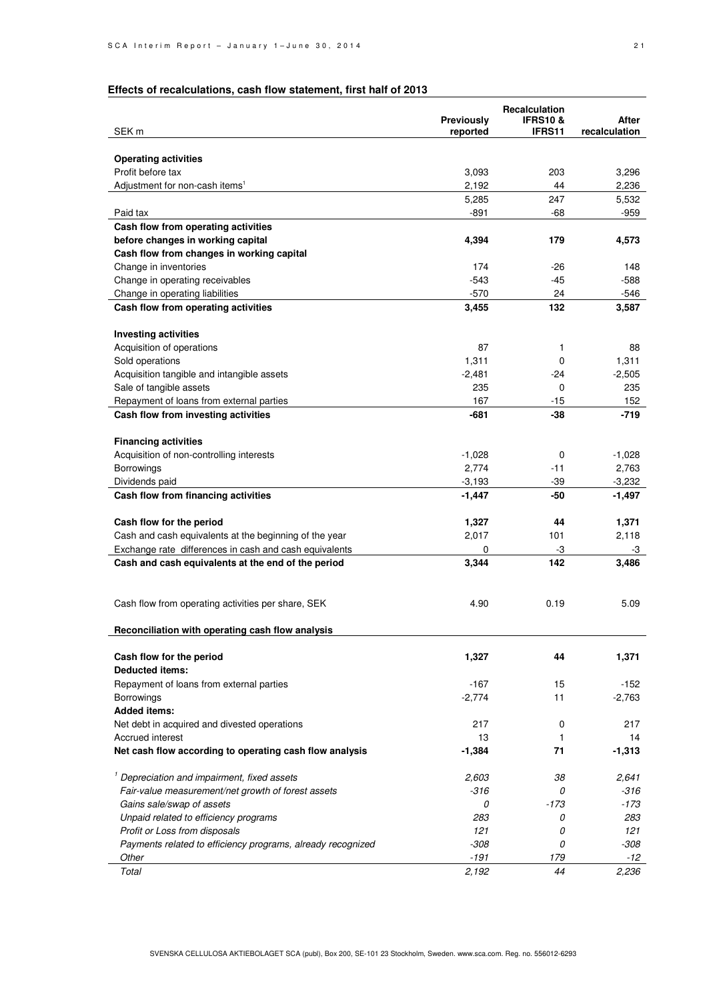# **Effects of recalculations, cash flow statement, first half of 2013**

|                                                                         |                 | Recalculation      |               |
|-------------------------------------------------------------------------|-----------------|--------------------|---------------|
|                                                                         | Previously      | <b>IFRS10&amp;</b> | After         |
| SEK m                                                                   | reported        | <b>IFRS11</b>      | recalculation |
|                                                                         |                 |                    |               |
| <b>Operating activities</b><br>Profit before tax                        | 3,093           |                    | 3,296         |
| Adjustment for non-cash items <sup>1</sup>                              | 2,192           | 203<br>44          | 2,236         |
|                                                                         | 5,285           | 247                | 5,532         |
| Paid tax                                                                | $-891$          | -68                | $-959$        |
| Cash flow from operating activities                                     |                 |                    |               |
| before changes in working capital                                       | 4,394           | 179                | 4,573         |
| Cash flow from changes in working capital                               |                 |                    |               |
| Change in inventories                                                   | 174             | -26                | 148           |
| Change in operating receivables                                         | -543            | -45                | $-588$        |
| Change in operating liabilities                                         | $-570$          | 24                 | $-546$        |
| Cash flow from operating activities                                     | 3,455           | 132                | 3,587         |
|                                                                         |                 |                    |               |
| <b>Investing activities</b>                                             |                 |                    |               |
| Acquisition of operations                                               | 87              | 1                  | 88            |
| Sold operations                                                         | 1,311           | 0                  | 1,311         |
| Acquisition tangible and intangible assets                              | $-2,481$        | -24                | $-2,505$      |
| Sale of tangible assets                                                 | 235             | 0                  | 235           |
| Repayment of loans from external parties                                | 167             | -15                | 152           |
| Cash flow from investing activities                                     | -681            | $-38$              | -719          |
|                                                                         |                 |                    |               |
| <b>Financing activities</b>                                             |                 |                    |               |
| Acquisition of non-controlling interests                                | $-1,028$        | 0                  | $-1,028$      |
| Borrowings                                                              | 2,774           | $-11$              | 2,763         |
| Dividends paid                                                          | $-3,193$        | -39                | $-3,232$      |
| Cash flow from financing activities                                     | $-1,447$        | -50                | $-1,497$      |
|                                                                         |                 |                    |               |
| Cash flow for the period                                                | 1,327           | 44                 | 1,371         |
| Cash and cash equivalents at the beginning of the year                  | 2,017           | 101                | 2,118         |
| Exchange rate differences in cash and cash equivalents                  | 0               | -3                 | -3            |
| Cash and cash equivalents at the end of the period                      | 3,344           | 142                | 3,486         |
|                                                                         |                 |                    |               |
|                                                                         |                 |                    |               |
| Cash flow from operating activities per share, SEK                      | 4.90            | 0.19               | 5.09          |
|                                                                         |                 |                    |               |
| Reconciliation with operating cash flow analysis                        |                 |                    |               |
|                                                                         |                 |                    |               |
| Cash flow for the period                                                | 1,327           | 44                 | 1,371         |
| <b>Deducted items:</b>                                                  |                 |                    |               |
| Repayment of loans from external parties                                | $-167$          | 15                 | $-152$        |
| Borrowings                                                              | $-2,774$        | 11                 | $-2,763$      |
| <b>Added items:</b>                                                     |                 |                    |               |
| Net debt in acquired and divested operations<br><b>Accrued interest</b> | 217             | 0                  | 217           |
|                                                                         | 13              | 1                  | 14            |
| Net cash flow according to operating cash flow analysis                 | $-1,384$        | 71                 | $-1,313$      |
| <sup>1</sup> Depreciation and impairment, fixed assets                  |                 |                    | 2.641         |
| Fair-value measurement/net growth of forest assets                      | 2,603<br>$-316$ | 38<br>0            | $-316$        |
| Gains sale/swap of assets                                               | 0               | -173               | $-173$        |
| Unpaid related to efficiency programs                                   | 283             | 0                  | 283           |
| Profit or Loss from disposals                                           | 121             | 0                  | 121           |
| Payments related to efficiency programs, already recognized             | $-308$          | 0                  | $-308$        |
| Other                                                                   | $-191$          | 179                | -12           |
| Total                                                                   | 2,192           | 44                 | 2,236         |
|                                                                         |                 |                    |               |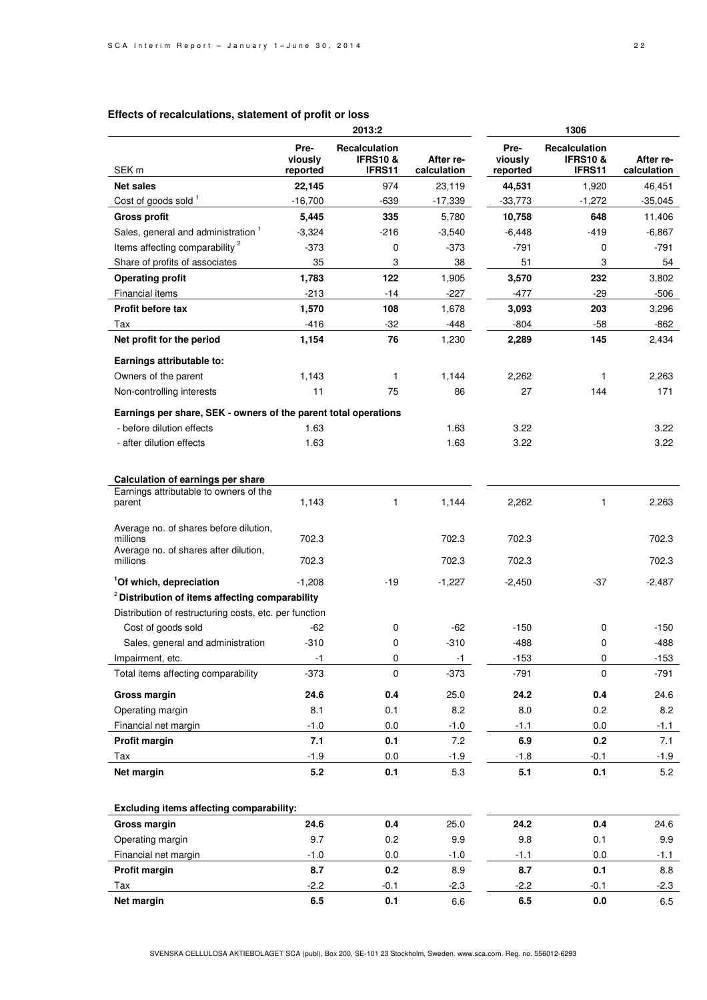### **Effects of recalculations, statement of profit or loss**

|                                                                                             |                             | 2013:2                                         |                          | 1306                        |                                                |                          |
|---------------------------------------------------------------------------------------------|-----------------------------|------------------------------------------------|--------------------------|-----------------------------|------------------------------------------------|--------------------------|
| SEK <sub>m</sub>                                                                            | Pre-<br>viously<br>reported | Recalculation<br><b>IFRS10 &amp;</b><br>IFRS11 | After re-<br>calculation | Pre-<br>viously<br>reported | Recalculation<br><b>IFRS10 &amp;</b><br>IFRS11 | After re-<br>calculation |
| <b>Net sales</b>                                                                            | 22,145                      | 974                                            | 23,119                   | 44,531                      | 1,920                                          | 46,451                   |
| Cost of goods sold 1                                                                        | $-16,700$                   | -639                                           | $-17,339$                | $-33,773$                   | $-1,272$                                       | $-35,045$                |
| <b>Gross profit</b>                                                                         | 5,445                       | 335                                            | 5,780                    | 10,758                      | 648                                            | 11,406                   |
| Sales, general and administration <sup>1</sup>                                              | $-3,324$                    | $-216$                                         | $-3,540$                 | $-6,448$                    | $-419$                                         | $-6,867$                 |
| Items affecting comparability <sup>2</sup>                                                  | $-373$                      | 0                                              | $-373$                   | $-791$                      | 0                                              | $-791$                   |
| Share of profits of associates                                                              | 35                          | 3                                              | 38                       | 51                          | 3                                              | 54                       |
| <b>Operating profit</b>                                                                     | 1,783                       | 122                                            | 1,905                    | 3,570                       | 232                                            | 3,802                    |
| Financial items                                                                             | $-213$                      | -14                                            | $-227$                   | $-477$                      | $-29$                                          | $-506$                   |
| <b>Profit before tax</b>                                                                    | 1,570                       | 108                                            | 1,678                    | 3,093                       | 203                                            | 3,296                    |
| Tax                                                                                         | $-416$                      | $-32$                                          | $-448$                   | -804                        | $-58$                                          | $-862$                   |
| Net profit for the period                                                                   | 1,154                       | 76                                             | 1,230                    | 2,289                       | 145                                            | 2,434                    |
| Earnings attributable to:                                                                   |                             |                                                |                          |                             |                                                |                          |
| Owners of the parent                                                                        | 1,143                       | 1                                              | 1,144                    | 2,262                       | 1                                              | 2,263                    |
| Non-controlling interests                                                                   | 11                          | 75                                             | 86                       | 27                          | 144                                            | 171                      |
| Earnings per share, SEK - owners of the parent total operations                             |                             |                                                |                          |                             |                                                |                          |
| - before dilution effects                                                                   | 1.63                        |                                                | 1.63                     | 3.22                        |                                                | 3.22                     |
| - after dilution effects                                                                    | 1.63                        |                                                | 1.63                     | 3.22                        |                                                | 3.22                     |
| Calculation of earnings per share<br>Earnings attributable to owners of the                 |                             |                                                |                          |                             |                                                |                          |
| parent                                                                                      | 1,143                       | 1                                              | 1,144                    | 2,262                       | 1                                              | 2,263                    |
| Average no. of shares before dilution,<br>millions<br>Average no. of shares after dilution, | 702.3                       |                                                | 702.3                    | 702.3                       |                                                | 702.3                    |
| millions                                                                                    | 702.3                       |                                                | 702.3                    | 702.3                       |                                                | 702.3                    |
| <sup>1</sup> Of which, depreciation                                                         | $-1.208$                    | $-19$                                          | $-1,227$                 | $-2,450$                    | $-37$                                          | $-2,487$                 |
| <sup>2</sup> Distribution of items affecting comparability                                  |                             |                                                |                          |                             |                                                |                          |
| Distribution of restructuring costs, etc. per function                                      |                             |                                                |                          |                             |                                                |                          |
| Cost of goods sold                                                                          | $-62$                       | 0                                              | $-62$                    | $-150$                      | 0                                              | $-150$                   |
| Sales, general and administration                                                           | $-310$                      | 0                                              | $-310$                   | $-488$                      | 0                                              | $-488$                   |
| Impairment, etc.                                                                            | -1                          | 0                                              | -1                       | -153                        | 0                                              | -153                     |
| Total items affecting comparability                                                         | $-373$                      | 0                                              | $-373$                   | $-791$                      | $\Omega$                                       | $-791$                   |
| <b>Gross margin</b>                                                                         | 24.6                        | $0.4\,$                                        | 25.0                     | 24.2                        | $0.4\,$                                        | 24.6                     |
| Operating margin                                                                            | 8.1                         | 0.1                                            | 8.2                      | 8.0                         | 0.2                                            | 8.2                      |
| Financial net margin                                                                        | $-1.0$                      | 0.0                                            | $-1.0$                   | $-1.1$                      | 0.0                                            | $-1.1$                   |
| Profit margin                                                                               | 7.1                         | 0.1                                            | 7.2                      | 6.9                         | 0.2                                            | 7.1                      |
| Tax                                                                                         | $-1.9$                      | 0.0                                            | $-1.9$                   | $-1.8$                      | $-0.1$                                         | -1.9                     |
| Net margin                                                                                  | 5.2                         | 0.1                                            | 5.3                      | 5.1                         | 0.1                                            | 5.2                      |
|                                                                                             |                             |                                                |                          |                             |                                                |                          |
| <b>Excluding items affecting comparability:</b><br>Gross margin                             | 24.6                        | 0.4                                            | 25.0                     | 24.2                        | 0.4                                            | 24.6                     |
| Operating margin                                                                            | 9.7                         | 0.2                                            | 9.9                      | 9.8                         | 0.1                                            | 9.9                      |
| Financial net margin                                                                        | $-1.0$                      | 0.0                                            | $-1.0$                   | $-1.1$                      | 0.0                                            | $-1.1$                   |
| Profit margin                                                                               | 8.7                         | 0.2                                            | 8.9                      | 8.7                         | 0.1                                            | 8.8                      |
| Tax                                                                                         | $-2.2$                      | $-0.1$                                         | $-2.3$                   | $-2.2$                      | $-0.1$                                         | $-2.3$                   |
| Net margin                                                                                  | 6.5                         | 0.1                                            | 6.6                      | 6.5                         | 0.0                                            | 6.5                      |
|                                                                                             |                             |                                                |                          |                             |                                                |                          |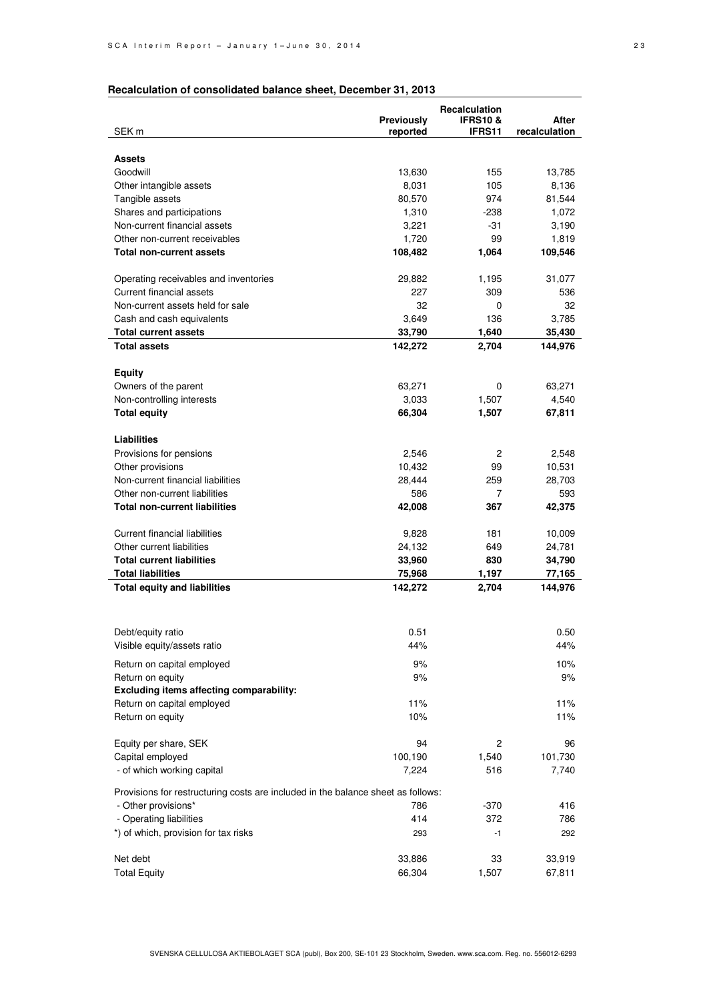### **Recalculation of consolidated balance sheet, December 31, 2013**

|                                                                                  |                  | Recalculation      |                  |
|----------------------------------------------------------------------------------|------------------|--------------------|------------------|
|                                                                                  | Previously       | <b>IFRS10&amp;</b> | After            |
| SEK m                                                                            | reported         | <b>IFRS11</b>      | recalculation    |
|                                                                                  |                  |                    |                  |
| <b>Assets</b>                                                                    |                  |                    |                  |
| Goodwill                                                                         | 13,630           | 155                | 13,785           |
| Other intangible assets                                                          | 8,031            | 105                | 8,136            |
| Tangible assets                                                                  | 80,570           | 974                | 81,544           |
| Shares and participations                                                        | 1,310            | -238               | 1,072            |
| Non-current financial assets                                                     | 3,221            | -31                | 3,190            |
| Other non-current receivables                                                    | 1,720            | 99                 | 1,819            |
| <b>Total non-current assets</b>                                                  | 108,482          | 1,064              | 109,546          |
| Operating receivables and inventories                                            | 29,882           | 1,195              | 31,077           |
| Current financial assets                                                         | 227              | 309                | 536              |
| Non-current assets held for sale                                                 | 32               | 0                  | 32               |
| Cash and cash equivalents                                                        | 3,649            | 136                | 3,785            |
| <b>Total current assets</b>                                                      | 33,790           | 1,640              | 35,430           |
| <b>Total assets</b>                                                              | 142,272          | 2,704              | 144,976          |
|                                                                                  |                  |                    |                  |
| <b>Equity</b>                                                                    |                  |                    |                  |
| Owners of the parent                                                             | 63,271           | 0                  | 63,271           |
| Non-controlling interests                                                        | 3,033            | 1,507              | 4,540            |
| <b>Total equity</b>                                                              | 66,304           | 1,507              | 67,811           |
|                                                                                  |                  |                    |                  |
| <b>Liabilities</b>                                                               |                  |                    |                  |
| Provisions for pensions                                                          | 2,546            | 2                  | 2,548            |
| Other provisions                                                                 | 10,432           | 99                 | 10,531           |
| Non-current financial liabilities                                                | 28,444           | 259                | 28,703           |
| Other non-current liabilities                                                    | 586              | 7                  | 593              |
| <b>Total non-current liabilities</b>                                             | 42,008           | 367                | 42,375           |
| Current financial liabilities                                                    |                  |                    |                  |
| Other current liabilities                                                        | 9,828            | 181<br>649         | 10,009           |
| <b>Total current liabilities</b>                                                 | 24,132<br>33,960 | 830                | 24,781<br>34,790 |
| <b>Total liabilities</b>                                                         | 75,968           | 1,197              | 77,165           |
| <b>Total equity and liabilities</b>                                              | 142,272          | 2,704              | 144,976          |
|                                                                                  |                  |                    |                  |
|                                                                                  |                  |                    |                  |
| Debt/equity ratio                                                                | 0.51             |                    | 0.50             |
| Visible equity/assets ratio                                                      | 44%              |                    | 44%              |
|                                                                                  |                  |                    |                  |
| Return on capital employed                                                       | 9%               |                    | 10%              |
| Return on equity                                                                 | 9%               |                    | 9%               |
| Excluding items affecting comparability:                                         | 11%              |                    | 11%              |
| Return on capital employed                                                       | 10%              |                    | 11%              |
| Return on equity                                                                 |                  |                    |                  |
| Equity per share, SEK                                                            | 94               | 2                  | 96               |
| Capital employed                                                                 | 100,190          | 1,540              | 101,730          |
| - of which working capital                                                       | 7,224            | 516                | 7,740            |
|                                                                                  |                  |                    |                  |
| Provisions for restructuring costs are included in the balance sheet as follows: |                  |                    |                  |
| - Other provisions*                                                              | 786<br>414       | $-370$             | 416              |
| - Operating liabilities                                                          |                  | 372                | 786              |
| *) of which, provision for tax risks                                             | 293              | $-1$               | 292              |
| Net debt                                                                         | 33,886           | 33                 | 33,919           |
| <b>Total Equity</b>                                                              | 66,304           | 1,507              | 67,811           |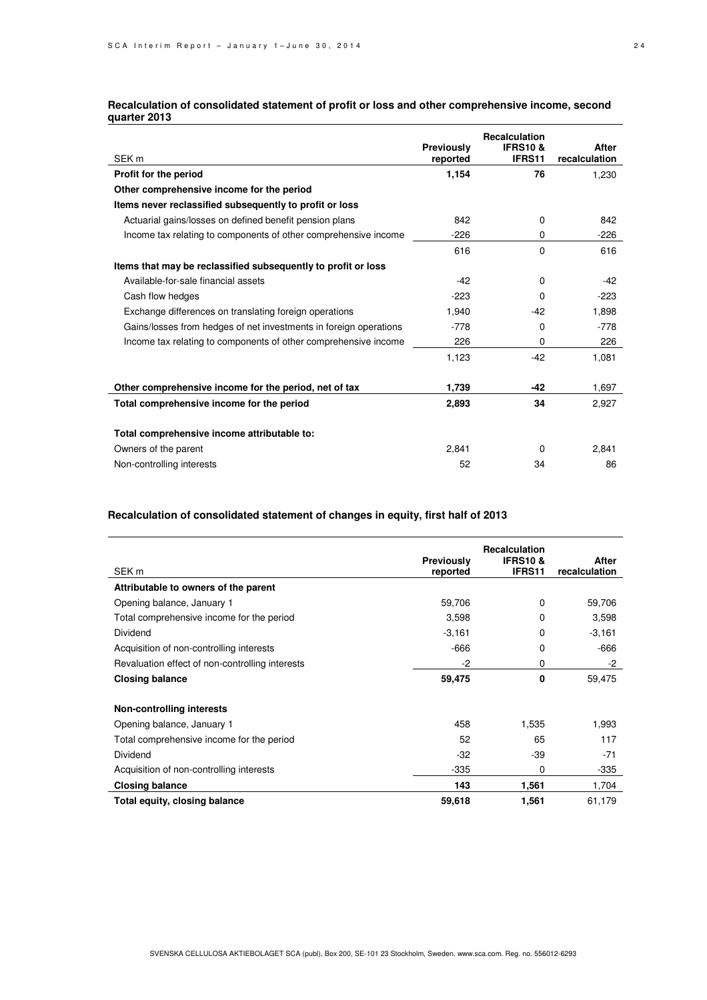### **Recalculation of consolidated statement of profit or loss and other comprehensive income, second quarter 2013**

| SEK <sub>m</sub>                                                  | Previously<br>reported | <b>Recalculation</b><br><b>IFRS10 &amp;</b><br>IFRS11 | After<br>recalculation |
|-------------------------------------------------------------------|------------------------|-------------------------------------------------------|------------------------|
| Profit for the period                                             | 1,154                  | 76                                                    | 1,230                  |
| Other comprehensive income for the period                         |                        |                                                       |                        |
| Items never reclassified subsequently to profit or loss           |                        |                                                       |                        |
| Actuarial gains/losses on defined benefit pension plans           | 842                    | 0                                                     | 842                    |
| Income tax relating to components of other comprehensive income   | $-226$                 | 0                                                     | $-226$                 |
|                                                                   | 616                    | $\Omega$                                              | 616                    |
| Items that may be reclassified subsequently to profit or loss     |                        |                                                       |                        |
| Available-for-sale financial assets                               | $-42$                  | $\Omega$                                              | $-42$                  |
| Cash flow hedges                                                  | $-223$                 | 0                                                     | $-223$                 |
| Exchange differences on translating foreign operations            | 1,940                  | $-42$                                                 | 1,898                  |
| Gains/losses from hedges of net investments in foreign operations | $-778$                 | 0                                                     | $-778$                 |
| Income tax relating to components of other comprehensive income   | 226                    | 0                                                     | 226                    |
|                                                                   | 1,123                  | $-42$                                                 | 1,081                  |
| Other comprehensive income for the period, net of tax             | 1,739                  | -42                                                   | 1,697                  |
| Total comprehensive income for the period                         | 2,893                  | 34                                                    | 2,927                  |
| Total comprehensive income attributable to:                       |                        |                                                       |                        |
| Owners of the parent                                              | 2,841                  | 0                                                     | 2,841                  |
| Non-controlling interests                                         | 52                     | 34                                                    | 86                     |

### **Recalculation of consolidated statement of changes in equity, first half of 2013**

|                                                 | Previously | <b>Recalculation</b><br><b>IFRS10&amp;</b> | After         |
|-------------------------------------------------|------------|--------------------------------------------|---------------|
| SEK <sub>m</sub>                                | reported   | IFRS11                                     | recalculation |
| Attributable to owners of the parent            |            |                                            |               |
| Opening balance, January 1                      | 59,706     | 0                                          | 59,706        |
| Total comprehensive income for the period       | 3,598      | 0                                          | 3,598         |
| Dividend                                        | $-3,161$   | 0                                          | $-3,161$      |
| Acquisition of non-controlling interests        | -666       | $\Omega$                                   | $-666$        |
| Revaluation effect of non-controlling interests | $-2$       | 0                                          | -2            |
| <b>Closing balance</b>                          | 59,475     | 0                                          | 59,475        |
| Non-controlling interests                       |            |                                            |               |
| Opening balance, January 1                      | 458        | 1,535                                      | 1,993         |
| Total comprehensive income for the period       | 52         | 65                                         | 117           |
| Dividend                                        | $-32$      | -39                                        | $-71$         |
| Acquisition of non-controlling interests        | $-335$     | 0                                          | -335          |
| <b>Closing balance</b>                          | 143        | 1,561                                      | 1,704         |
| Total equity, closing balance                   | 59,618     | 1,561                                      | 61,179        |